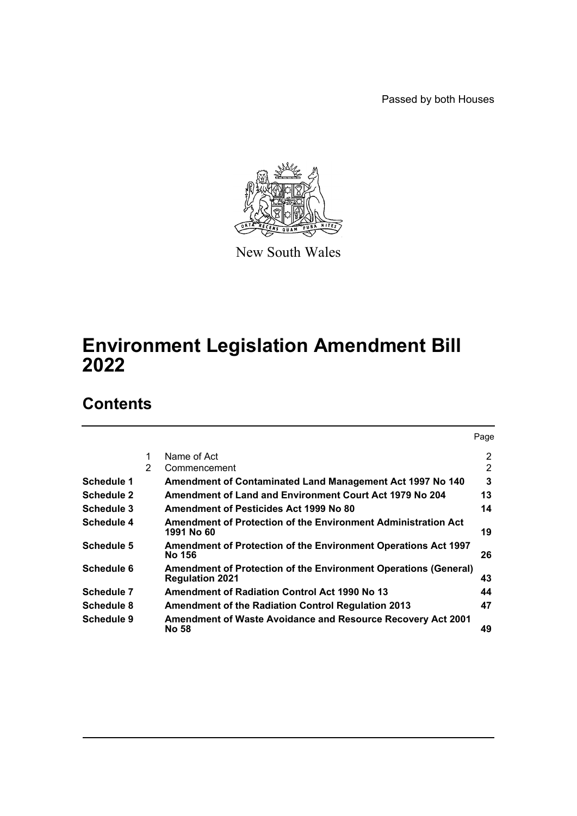Passed by both Houses



New South Wales

# **Environment Legislation Amendment Bill 2022**

# **Contents**

|            |   |                                                                                                  | Page |
|------------|---|--------------------------------------------------------------------------------------------------|------|
|            | 1 | Name of Act                                                                                      | 2    |
|            | 2 | Commencement                                                                                     | 2    |
| Schedule 1 |   | Amendment of Contaminated Land Management Act 1997 No 140                                        | 3    |
| Schedule 2 |   | Amendment of Land and Environment Court Act 1979 No 204                                          | 13   |
| Schedule 3 |   | Amendment of Pesticides Act 1999 No 80                                                           | 14   |
| Schedule 4 |   | Amendment of Protection of the Environment Administration Act<br>1991 No 60                      | 19   |
| Schedule 5 |   | <b>Amendment of Protection of the Environment Operations Act 1997</b><br><b>No 156</b>           | 26   |
| Schedule 6 |   | <b>Amendment of Protection of the Environment Operations (General)</b><br><b>Regulation 2021</b> | 43   |
| Schedule 7 |   | <b>Amendment of Radiation Control Act 1990 No 13</b>                                             | 44   |
| Schedule 8 |   | <b>Amendment of the Radiation Control Regulation 2013</b>                                        | 47   |
| Schedule 9 |   | <b>Amendment of Waste Avoidance and Resource Recovery Act 2001</b><br>No 58                      | 49   |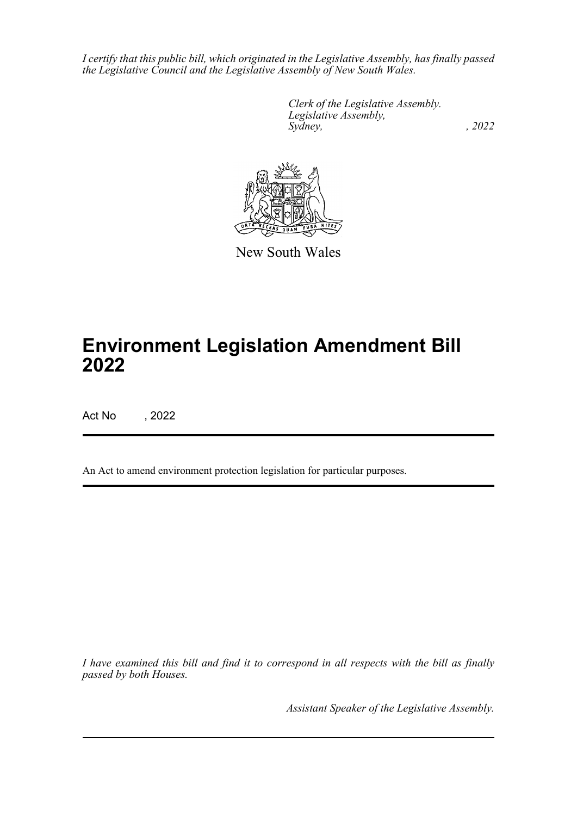*I certify that this public bill, which originated in the Legislative Assembly, has finally passed the Legislative Council and the Legislative Assembly of New South Wales.*

> *Clerk of the Legislative Assembly. Legislative Assembly, Sydney, , 2022*



New South Wales

# **Environment Legislation Amendment Bill 2022**

Act No , 2022

An Act to amend environment protection legislation for particular purposes.

*I have examined this bill and find it to correspond in all respects with the bill as finally passed by both Houses.*

*Assistant Speaker of the Legislative Assembly.*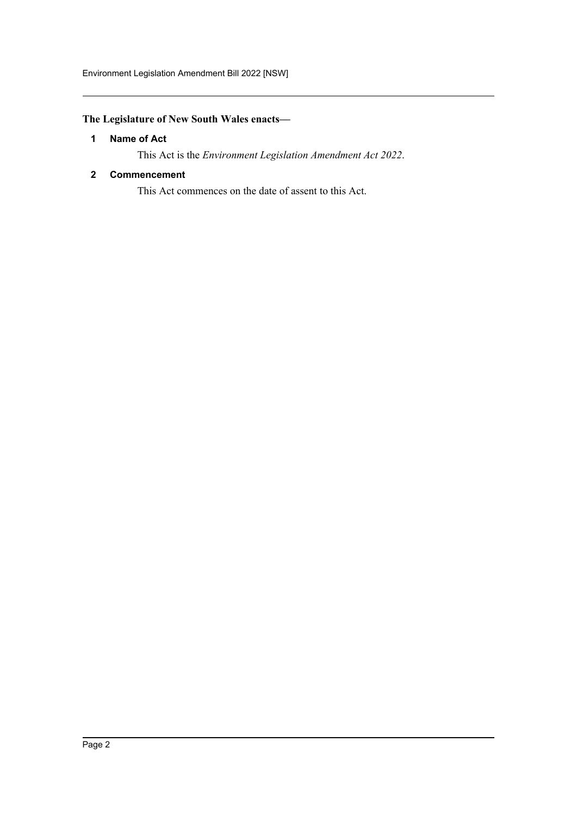# <span id="page-2-0"></span>**The Legislature of New South Wales enacts—**

# **1 Name of Act**

This Act is the *Environment Legislation Amendment Act 2022*.

# <span id="page-2-1"></span>**2 Commencement**

This Act commences on the date of assent to this Act.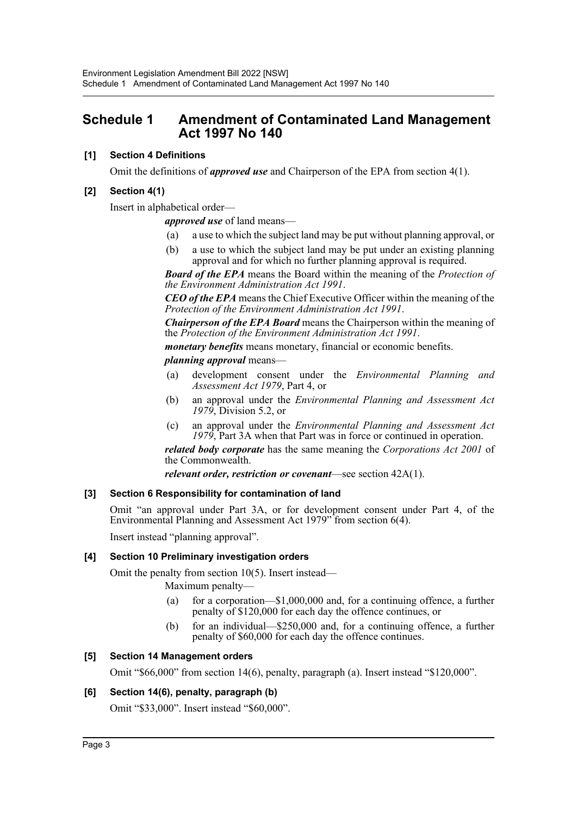# <span id="page-3-0"></span>**Schedule 1 Amendment of Contaminated Land Management Act 1997 No 140**

# **[1] Section 4 Definitions**

Omit the definitions of *approved use* and Chairperson of the EPA from section 4(1).

# **[2] Section 4(1)**

Insert in alphabetical order—

*approved use* of land means—

- (a) a use to which the subject land may be put without planning approval, or
- (b) a use to which the subject land may be put under an existing planning approval and for which no further planning approval is required.

*Board of the EPA* means the Board within the meaning of the *Protection of the Environment Administration Act 1991*.

*CEO of the EPA* means the Chief Executive Officer within the meaning of the *Protection of the Environment Administration Act 1991*.

*Chairperson of the EPA Board* means the Chairperson within the meaning of the *Protection of the Environment Administration Act 1991*.

*monetary benefits* means monetary, financial or economic benefits.

#### *planning approval* means—

- (a) development consent under the *Environmental Planning and Assessment Act 1979*, Part 4, or
- (b) an approval under the *Environmental Planning and Assessment Act 1979*, Division 5.2, or
- (c) an approval under the *Environmental Planning and Assessment Act 1979*, Part 3A when that Part was in force or continued in operation.

*related body corporate* has the same meaning the *Corporations Act 2001* of the Commonwealth.

*relevant order, restriction or covenant*—see section 42A(1).

# **[3] Section 6 Responsibility for contamination of land**

Omit "an approval under Part 3A, or for development consent under Part 4, of the Environmental Planning and Assessment Act 1979" from section 6(4).

Insert instead "planning approval".

# **[4] Section 10 Preliminary investigation orders**

Omit the penalty from section 10(5). Insert instead—

Maximum penalty—

- (a) for a corporation—\$1,000,000 and, for a continuing offence, a further penalty of \$120,000 for each day the offence continues, or
- (b) for an individual—\$250,000 and, for a continuing offence, a further penalty of \$60,000 for each day the offence continues.

# **[5] Section 14 Management orders**

Omit "\$66,000" from section 14(6), penalty, paragraph (a). Insert instead "\$120,000".

# **[6] Section 14(6), penalty, paragraph (b)**

Omit "\$33,000". Insert instead "\$60,000".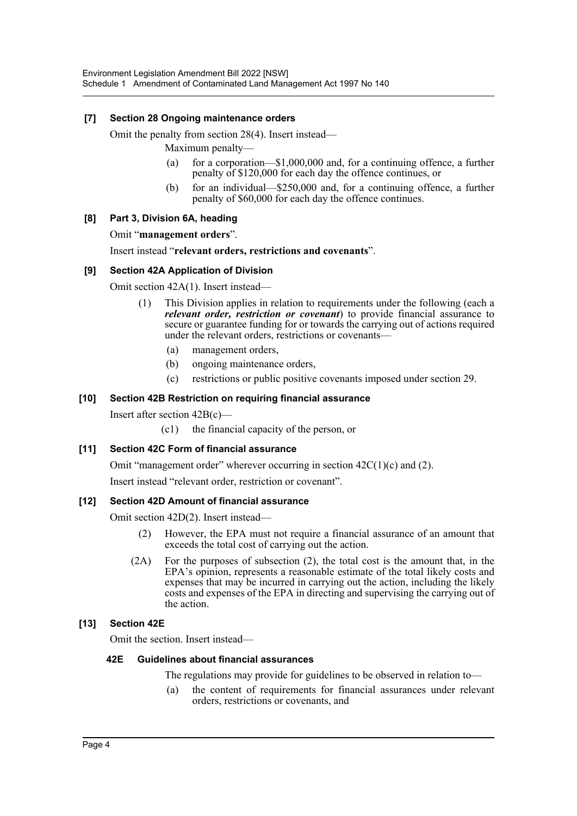# **[7] Section 28 Ongoing maintenance orders**

Omit the penalty from section 28(4). Insert instead—

Maximum penalty—

- (a) for a corporation—\$1,000,000 and, for a continuing offence, a further penalty of \$120,000 for each day the offence continues, or
- (b) for an individual—\$250,000 and, for a continuing offence, a further penalty of \$60,000 for each day the offence continues.

# **[8] Part 3, Division 6A, heading**

Omit "**management orders**".

Insert instead "**relevant orders, restrictions and covenants**".

# **[9] Section 42A Application of Division**

Omit section 42A(1). Insert instead—

- (1) This Division applies in relation to requirements under the following (each a *relevant order, restriction or covenant*) to provide financial assurance to secure or guarantee funding for or towards the carrying out of actions required under the relevant orders, restrictions or covenants—
	- (a) management orders,
	- (b) ongoing maintenance orders,
	- (c) restrictions or public positive covenants imposed under section 29.

# **[10] Section 42B Restriction on requiring financial assurance**

Insert after section 42B(c)—

(c1) the financial capacity of the person, or

# **[11] Section 42C Form of financial assurance**

Omit "management order" wherever occurring in section  $42C(1)(c)$  and (2).

Insert instead "relevant order, restriction or covenant".

# **[12] Section 42D Amount of financial assurance**

Omit section 42D(2). Insert instead—

- (2) However, the EPA must not require a financial assurance of an amount that exceeds the total cost of carrying out the action.
- (2A) For the purposes of subsection (2), the total cost is the amount that, in the EPA's opinion, represents a reasonable estimate of the total likely costs and expenses that may be incurred in carrying out the action, including the likely costs and expenses of the EPA in directing and supervising the carrying out of the action.

# **[13] Section 42E**

Omit the section. Insert instead—

# **42E Guidelines about financial assurances**

The regulations may provide for guidelines to be observed in relation to—

(a) the content of requirements for financial assurances under relevant orders, restrictions or covenants, and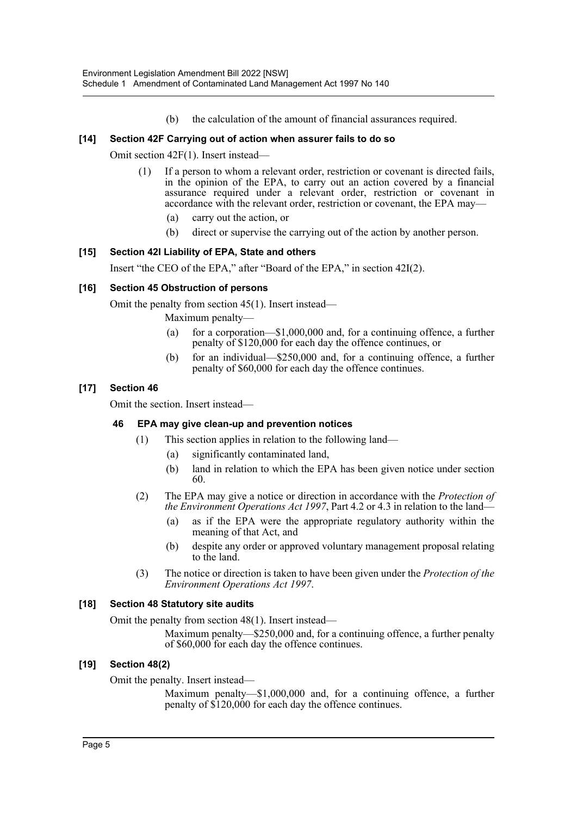(b) the calculation of the amount of financial assurances required.

# **[14] Section 42F Carrying out of action when assurer fails to do so**

Omit section 42F(1). Insert instead—

- (1) If a person to whom a relevant order, restriction or covenant is directed fails, in the opinion of the EPA, to carry out an action covered by a financial assurance required under a relevant order, restriction or covenant in accordance with the relevant order, restriction or covenant, the EPA may—
	- (a) carry out the action, or
	- (b) direct or supervise the carrying out of the action by another person.

# **[15] Section 42I Liability of EPA, State and others**

Insert "the CEO of the EPA," after "Board of the EPA," in section 42I(2).

# **[16] Section 45 Obstruction of persons**

Omit the penalty from section 45(1). Insert instead—

Maximum penalty—

- (a) for a corporation— $$1,000,000$  and, for a continuing offence, a further penalty of \$120,000 for each day the offence continues, or
- (b) for an individual—\$250,000 and, for a continuing offence, a further penalty of \$60,000 for each day the offence continues.

# **[17] Section 46**

Omit the section. Insert instead—

# **46 EPA may give clean-up and prevention notices**

- (1) This section applies in relation to the following land—
	- (a) significantly contaminated land,
	- (b) land in relation to which the EPA has been given notice under section 60.
- (2) The EPA may give a notice or direction in accordance with the *Protection of the Environment Operations Act 1997*, Part 4.2 or 4.3 in relation to the land—
	- (a) as if the EPA were the appropriate regulatory authority within the meaning of that Act, and
	- (b) despite any order or approved voluntary management proposal relating to the land.
- (3) The notice or direction is taken to have been given under the *Protection of the Environment Operations Act 1997*.

# **[18] Section 48 Statutory site audits**

Omit the penalty from section 48(1). Insert instead—

Maximum penalty—\$250,000 and, for a continuing offence, a further penalty of \$60,000 for each day the offence continues.

# **[19] Section 48(2)**

Omit the penalty. Insert instead—

Maximum penalty—\$1,000,000 and, for a continuing offence, a further penalty of \$120,000 for each day the offence continues.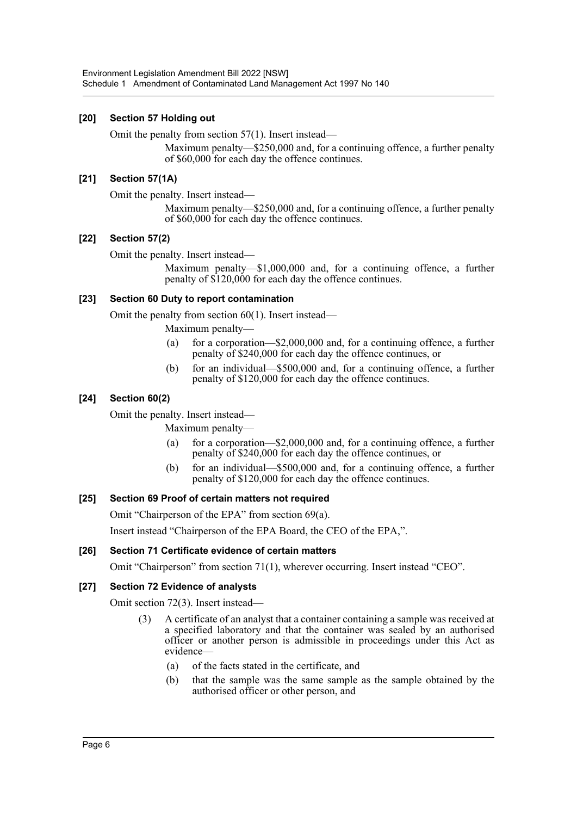# **[20] Section 57 Holding out**

Omit the penalty from section 57(1). Insert instead—

Maximum penalty—\$250,000 and, for a continuing offence, a further penalty of \$60,000 for each day the offence continues.

# **[21] Section 57(1A)**

Omit the penalty. Insert instead—

Maximum penalty—\$250,000 and, for a continuing offence, a further penalty of \$60,000 for each day the offence continues.

# **[22] Section 57(2)**

Omit the penalty. Insert instead—

Maximum penalty—\$1,000,000 and, for a continuing offence, a further penalty of \$120,000 for each day the offence continues.

# **[23] Section 60 Duty to report contamination**

Omit the penalty from section 60(1). Insert instead—

Maximum penalty—

- (a) for a corporation—\$2,000,000 and, for a continuing offence, a further penalty of \$240,000 for each day the offence continues, or
- (b) for an individual—\$500,000 and, for a continuing offence, a further penalty of \$120,000 for each day the offence continues.

# **[24] Section 60(2)**

Omit the penalty. Insert instead—

Maximum penalty—

- (a) for a corporation—\$2,000,000 and, for a continuing offence, a further penalty of \$240,000 for each day the offence continues, or
- (b) for an individual—\$500,000 and, for a continuing offence, a further penalty of \$120,000 for each day the offence continues.

# **[25] Section 69 Proof of certain matters not required**

Omit "Chairperson of the EPA" from section 69(a).

Insert instead "Chairperson of the EPA Board, the CEO of the EPA,".

# **[26] Section 71 Certificate evidence of certain matters**

Omit "Chairperson" from section 71(1), wherever occurring. Insert instead "CEO".

# **[27] Section 72 Evidence of analysts**

Omit section 72(3). Insert instead—

- (3) A certificate of an analyst that a container containing a sample was received at a specified laboratory and that the container was sealed by an authorised officer or another person is admissible in proceedings under this Act as evidence—
	- (a) of the facts stated in the certificate, and
	- (b) that the sample was the same sample as the sample obtained by the authorised officer or other person, and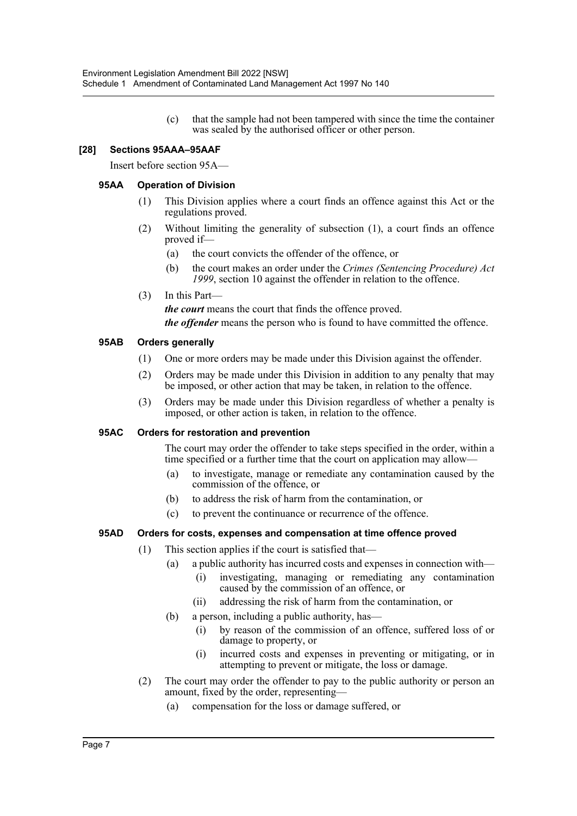(c) that the sample had not been tampered with since the time the container was sealed by the authorised officer or other person.

# **[28] Sections 95AAA–95AAF**

Insert before section 95A—

# **95AA Operation of Division**

- (1) This Division applies where a court finds an offence against this Act or the regulations proved.
- (2) Without limiting the generality of subsection (1), a court finds an offence proved if—
	- (a) the court convicts the offender of the offence, or
	- (b) the court makes an order under the *Crimes (Sentencing Procedure) Act 1999*, section 10 against the offender in relation to the offence.
- (3) In this Part—

*the court* means the court that finds the offence proved.

*the offender* means the person who is found to have committed the offence.

# **95AB Orders generally**

- (1) One or more orders may be made under this Division against the offender.
- (2) Orders may be made under this Division in addition to any penalty that may be imposed, or other action that may be taken, in relation to the offence.
- (3) Orders may be made under this Division regardless of whether a penalty is imposed, or other action is taken, in relation to the offence.

# **95AC Orders for restoration and prevention**

The court may order the offender to take steps specified in the order, within a time specified or a further time that the court on application may allow—

- (a) to investigate, manage or remediate any contamination caused by the commission of the offence, or
- (b) to address the risk of harm from the contamination, or
- (c) to prevent the continuance or recurrence of the offence.

# **95AD Orders for costs, expenses and compensation at time offence proved**

- (1) This section applies if the court is satisfied that—
	- (a) a public authority has incurred costs and expenses in connection with—
		- (i) investigating, managing or remediating any contamination caused by the commission of an offence, or
		- (ii) addressing the risk of harm from the contamination, or
	- (b) a person, including a public authority, has—
		- (i) by reason of the commission of an offence, suffered loss of or damage to property, or
		- (i) incurred costs and expenses in preventing or mitigating, or in attempting to prevent or mitigate, the loss or damage.
- (2) The court may order the offender to pay to the public authority or person an amount, fixed by the order, representing—
	- (a) compensation for the loss or damage suffered, or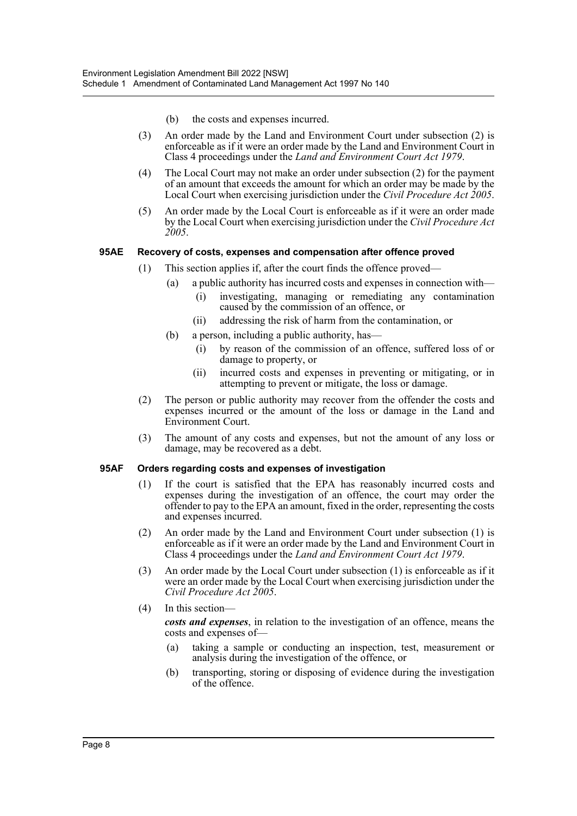- (b) the costs and expenses incurred.
- (3) An order made by the Land and Environment Court under subsection (2) is enforceable as if it were an order made by the Land and Environment Court in Class 4 proceedings under the *Land and Environment Court Act 1979*.
- (4) The Local Court may not make an order under subsection (2) for the payment of an amount that exceeds the amount for which an order may be made by the Local Court when exercising jurisdiction under the *Civil Procedure Act 2005*.
- (5) An order made by the Local Court is enforceable as if it were an order made by the Local Court when exercising jurisdiction under the *Civil Procedure Act 2005*.

# **95AE Recovery of costs, expenses and compensation after offence proved**

- (1) This section applies if, after the court finds the offence proved—
	- (a) a public authority has incurred costs and expenses in connection with—
		- (i) investigating, managing or remediating any contamination caused by the commission of an offence, or
		- (ii) addressing the risk of harm from the contamination, or
	- (b) a person, including a public authority, has—
		- (i) by reason of the commission of an offence, suffered loss of or damage to property, or
		- (ii) incurred costs and expenses in preventing or mitigating, or in attempting to prevent or mitigate, the loss or damage.
- (2) The person or public authority may recover from the offender the costs and expenses incurred or the amount of the loss or damage in the Land and Environment Court.
- (3) The amount of any costs and expenses, but not the amount of any loss or damage, may be recovered as a debt.

# **95AF Orders regarding costs and expenses of investigation**

- (1) If the court is satisfied that the EPA has reasonably incurred costs and expenses during the investigation of an offence, the court may order the offender to pay to the EPA an amount, fixed in the order, representing the costs and expenses incurred.
- (2) An order made by the Land and Environment Court under subsection (1) is enforceable as if it were an order made by the Land and Environment Court in Class 4 proceedings under the *Land and Environment Court Act 1979*.
- (3) An order made by the Local Court under subsection (1) is enforceable as if it were an order made by the Local Court when exercising jurisdiction under the *Civil Procedure Act 2005*.
- (4) In this section—

*costs and expenses*, in relation to the investigation of an offence, means the costs and expenses of—

- (a) taking a sample or conducting an inspection, test, measurement or analysis during the investigation of the offence, or
- (b) transporting, storing or disposing of evidence during the investigation of the offence.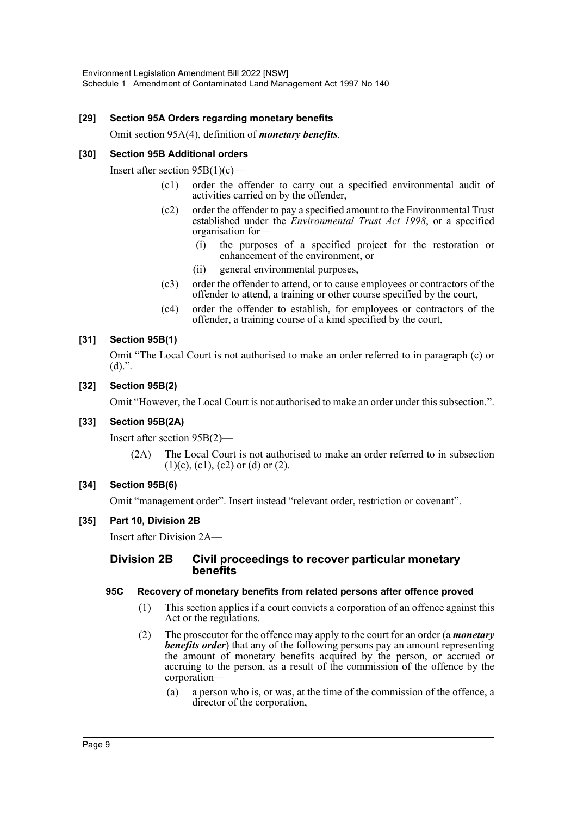# **[29] Section 95A Orders regarding monetary benefits**

Omit section 95A(4), definition of *monetary benefits*.

# **[30] Section 95B Additional orders**

Insert after section 95B(1)(c)—

- (c1) order the offender to carry out a specified environmental audit of activities carried on by the offender,
- (c2) order the offender to pay a specified amount to the Environmental Trust established under the *Environmental Trust Act 1998*, or a specified organisation for—
	- (i) the purposes of a specified project for the restoration or enhancement of the environment, or
	- (ii) general environmental purposes,
- (c3) order the offender to attend, or to cause employees or contractors of the offender to attend, a training or other course specified by the court,
- (c4) order the offender to establish, for employees or contractors of the offender, a training course of a kind specified by the court,

# **[31] Section 95B(1)**

Omit "The Local Court is not authorised to make an order referred to in paragraph (c) or  $(d)$ .".

# **[32] Section 95B(2)**

Omit "However, the Local Court is not authorised to make an order under this subsection.".

# **[33] Section 95B(2A)**

Insert after section 95B(2)—

(2A) The Local Court is not authorised to make an order referred to in subsection  $(1)(c)$ ,  $(c1)$ ,  $(c2)$  or  $(d)$  or  $(2)$ .

# **[34] Section 95B(6)**

Omit "management order". Insert instead "relevant order, restriction or covenant".

# **[35] Part 10, Division 2B**

Insert after Division 2A—

# **Division 2B Civil proceedings to recover particular monetary benefits**

# **95C Recovery of monetary benefits from related persons after offence proved**

- (1) This section applies if a court convicts a corporation of an offence against this Act or the regulations.
- (2) The prosecutor for the offence may apply to the court for an order (a *monetary benefits order*) that any of the following persons pay an amount representing the amount of monetary benefits acquired by the person, or accrued or accruing to the person, as a result of the commission of the offence by the corporation—
	- (a) a person who is, or was, at the time of the commission of the offence, a director of the corporation,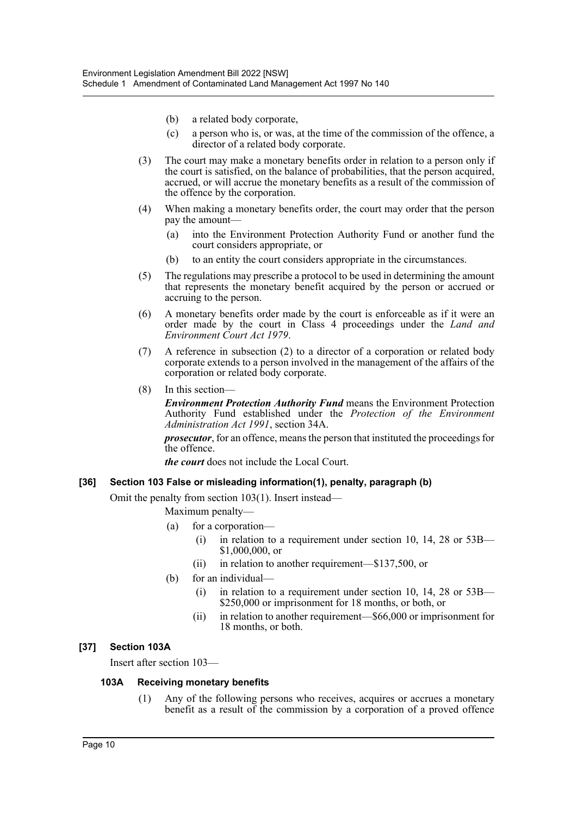- (b) a related body corporate,
- (c) a person who is, or was, at the time of the commission of the offence, a director of a related body corporate.
- (3) The court may make a monetary benefits order in relation to a person only if the court is satisfied, on the balance of probabilities, that the person acquired, accrued, or will accrue the monetary benefits as a result of the commission of the offence by the corporation.
- (4) When making a monetary benefits order, the court may order that the person pay the amount—
	- (a) into the Environment Protection Authority Fund or another fund the court considers appropriate, or
	- (b) to an entity the court considers appropriate in the circumstances.
- (5) The regulations may prescribe a protocol to be used in determining the amount that represents the monetary benefit acquired by the person or accrued or accruing to the person.
- (6) A monetary benefits order made by the court is enforceable as if it were an order made by the court in Class 4 proceedings under the *Land and Environment Court Act 1979*.
- (7) A reference in subsection (2) to a director of a corporation or related body corporate extends to a person involved in the management of the affairs of the corporation or related body corporate.
- (8) In this section—

*Environment Protection Authority Fund* means the Environment Protection Authority Fund established under the *Protection of the Environment Administration Act 1991*, section 34A.

*prosecutor*, for an offence, means the person that instituted the proceedings for the offence.

*the court* does not include the Local Court.

# **[36] Section 103 False or misleading information(1), penalty, paragraph (b)**

Omit the penalty from section 103(1). Insert instead—

Maximum penalty—

- (a) for a corporation—
	- (i) in relation to a requirement under section 10, 14, 28 or 53B— \$1,000,000, or
	- (ii) in relation to another requirement—\$137,500, or
- (b) for an individual—
	- (i) in relation to a requirement under section 10, 14, 28 or  $53B-$ \$250,000 or imprisonment for 18 months, or both, or
	- (ii) in relation to another requirement—\$66,000 or imprisonment for 18 months, or both.

# **[37] Section 103A**

Insert after section 103—

# **103A Receiving monetary benefits**

(1) Any of the following persons who receives, acquires or accrues a monetary benefit as a result of the commission by a corporation of a proved offence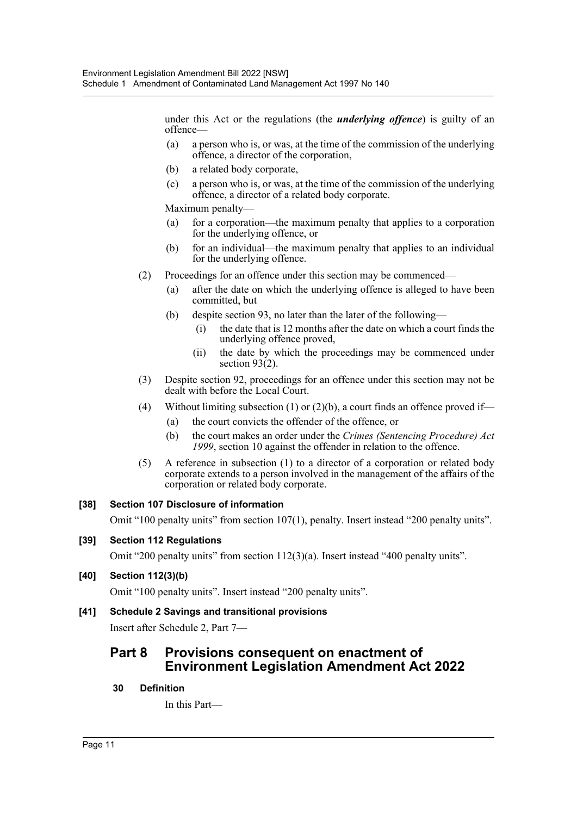under this Act or the regulations (the *underlying offence*) is guilty of an offence—

- (a) a person who is, or was, at the time of the commission of the underlying offence, a director of the corporation,
- (b) a related body corporate,
- (c) a person who is, or was, at the time of the commission of the underlying offence, a director of a related body corporate.

Maximum penalty—

- (a) for a corporation—the maximum penalty that applies to a corporation for the underlying offence, or
- (b) for an individual—the maximum penalty that applies to an individual for the underlying offence.
- (2) Proceedings for an offence under this section may be commenced—
	- (a) after the date on which the underlying offence is alleged to have been committed, but
	- (b) despite section 93, no later than the later of the following—
		- (i) the date that is 12 months after the date on which a court finds the underlying offence proved,
		- (ii) the date by which the proceedings may be commenced under section 93(2).
- (3) Despite section 92, proceedings for an offence under this section may not be dealt with before the Local Court.
- (4) Without limiting subsection (1) or (2)(b), a court finds an offence proved if—
	- (a) the court convicts the offender of the offence, or
	- (b) the court makes an order under the *Crimes (Sentencing Procedure) Act 1999*, section 10 against the offender in relation to the offence.
- (5) A reference in subsection (1) to a director of a corporation or related body corporate extends to a person involved in the management of the affairs of the corporation or related body corporate.

# **[38] Section 107 Disclosure of information**

Omit "100 penalty units" from section 107(1), penalty. Insert instead "200 penalty units".

# **[39] Section 112 Regulations**

Omit "200 penalty units" from section 112(3)(a). Insert instead "400 penalty units".

# **[40] Section 112(3)(b)**

Omit "100 penalty units". Insert instead "200 penalty units".

# **[41] Schedule 2 Savings and transitional provisions**

Insert after Schedule 2, Part 7—

# **Part 8 Provisions consequent on enactment of Environment Legislation Amendment Act 2022**

# **30 Definition**

In this Part—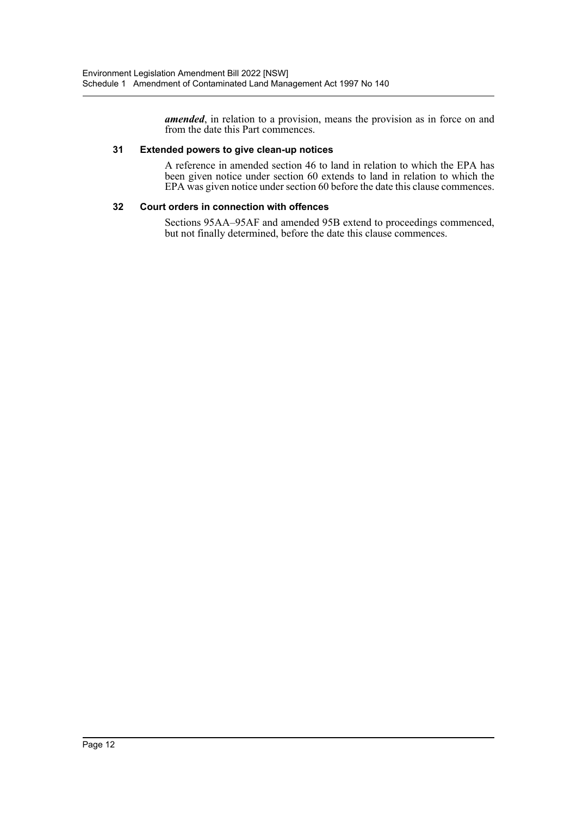*amended*, in relation to a provision, means the provision as in force on and from the date this Part commences.

# **31 Extended powers to give clean-up notices**

A reference in amended section 46 to land in relation to which the EPA has been given notice under section 60 extends to land in relation to which the EPA was given notice under section 60 before the date this clause commences.

## **32 Court orders in connection with offences**

Sections 95AA–95AF and amended 95B extend to proceedings commenced, but not finally determined, before the date this clause commences.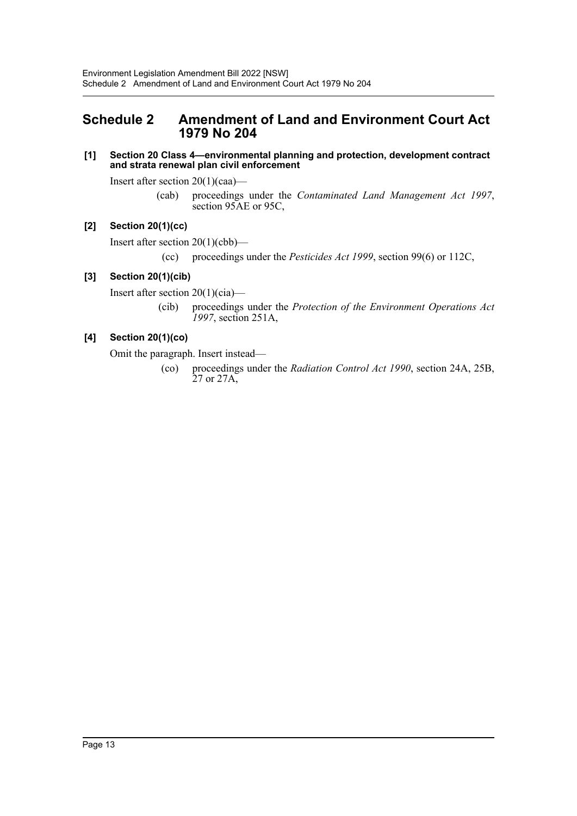# <span id="page-13-0"></span>**Schedule 2 Amendment of Land and Environment Court Act 1979 No 204**

**[1] Section 20 Class 4—environmental planning and protection, development contract and strata renewal plan civil enforcement**

Insert after section 20(1)(caa)—

(cab) proceedings under the *Contaminated Land Management Act 1997*, section 95AE or 95C,

# **[2] Section 20(1)(cc)**

Insert after section 20(1)(cbb)—

(cc) proceedings under the *Pesticides Act 1999*, section 99(6) or 112C,

# **[3] Section 20(1)(cib)**

Insert after section 20(1)(cia)—

(cib) proceedings under the *Protection of the Environment Operations Act 1997*, section 251A,

# **[4] Section 20(1)(co)**

Omit the paragraph. Insert instead—

(co) proceedings under the *Radiation Control Act 1990*, section 24A, 25B, 27 or 27A,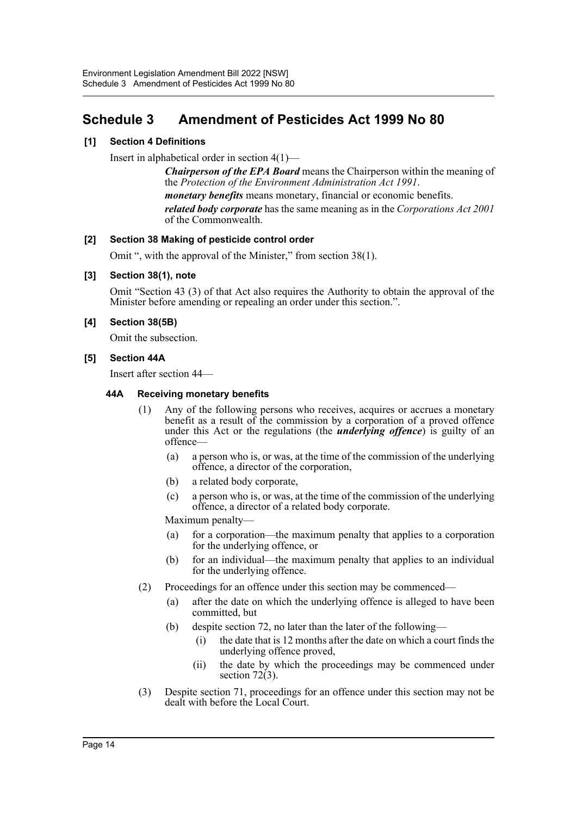# <span id="page-14-0"></span>**Schedule 3 Amendment of Pesticides Act 1999 No 80**

# **[1] Section 4 Definitions**

Insert in alphabetical order in section 4(1)—

*Chairperson of the EPA Board* means the Chairperson within the meaning of the *Protection of the Environment Administration Act 1991*.

*monetary benefits* means monetary, financial or economic benefits.

*related body corporate* has the same meaning as in the *Corporations Act 2001* of the Commonwealth.

# **[2] Section 38 Making of pesticide control order**

Omit ", with the approval of the Minister," from section 38(1).

# **[3] Section 38(1), note**

Omit "Section 43 (3) of that Act also requires the Authority to obtain the approval of the Minister before amending or repealing an order under this section.".

# **[4] Section 38(5B)**

Omit the subsection.

# **[5] Section 44A**

Insert after section 44—

# **44A Receiving monetary benefits**

- (1) Any of the following persons who receives, acquires or accrues a monetary benefit as a result of the commission by a corporation of a proved offence under this Act or the regulations (the *underlying offence*) is guilty of an offence—
	- (a) a person who is, or was, at the time of the commission of the underlying offence, a director of the corporation,
	- (b) a related body corporate,
	- (c) a person who is, or was, at the time of the commission of the underlying offence, a director of a related body corporate.

Maximum penalty—

- (a) for a corporation—the maximum penalty that applies to a corporation for the underlying offence, or
- (b) for an individual—the maximum penalty that applies to an individual for the underlying offence.
- (2) Proceedings for an offence under this section may be commenced—
	- (a) after the date on which the underlying offence is alleged to have been committed, but
	- (b) despite section 72, no later than the later of the following—
		- (i) the date that is 12 months after the date on which a court finds the underlying offence proved,
		- (ii) the date by which the proceedings may be commenced under section  $72(3)$ .
- (3) Despite section 71, proceedings for an offence under this section may not be dealt with before the Local Court.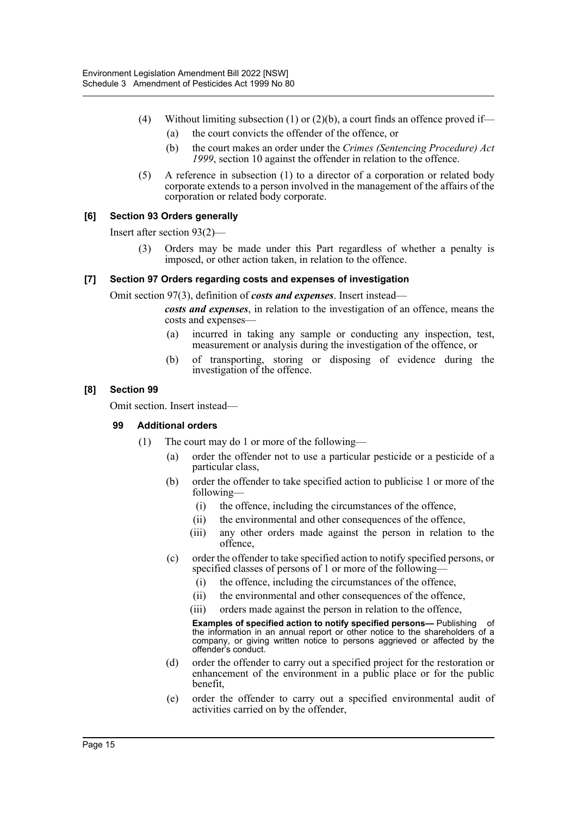- (4) Without limiting subsection (1) or (2)(b), a court finds an offence proved if—
	- (a) the court convicts the offender of the offence, or
	- (b) the court makes an order under the *Crimes (Sentencing Procedure) Act 1999*, section 10 against the offender in relation to the offence.
- (5) A reference in subsection (1) to a director of a corporation or related body corporate extends to a person involved in the management of the affairs of the corporation or related body corporate.

# **[6] Section 93 Orders generally**

Insert after section 93(2)—

(3) Orders may be made under this Part regardless of whether a penalty is imposed, or other action taken, in relation to the offence.

# **[7] Section 97 Orders regarding costs and expenses of investigation**

Omit section 97(3), definition of *costs and expenses*. Insert instead—

*costs and expenses*, in relation to the investigation of an offence, means the costs and expenses—

- (a) incurred in taking any sample or conducting any inspection, test, measurement or analysis during the investigation of the offence, or
- (b) of transporting, storing or disposing of evidence during the investigation of the offence.

# **[8] Section 99**

Omit section. Insert instead—

# **99 Additional orders**

- (1) The court may do 1 or more of the following—
	- (a) order the offender not to use a particular pesticide or a pesticide of a particular class,
	- (b) order the offender to take specified action to publicise 1 or more of the following—
		- (i) the offence, including the circumstances of the offence,
		- (ii) the environmental and other consequences of the offence,
		- (iii) any other orders made against the person in relation to the offence,
	- (c) order the offender to take specified action to notify specified persons, or specified classes of persons of 1 or more of the following—
		- (i) the offence, including the circumstances of the offence,
		- (ii) the environmental and other consequences of the offence,
		- (iii) orders made against the person in relation to the offence,

**Examples of specified action to notify specified persons—** Publishing of the information in an annual report or other notice to the shareholders of a company, or giving written notice to persons aggrieved or affected by the offender's conduct.

- (d) order the offender to carry out a specified project for the restoration or enhancement of the environment in a public place or for the public benefit,
- (e) order the offender to carry out a specified environmental audit of activities carried on by the offender,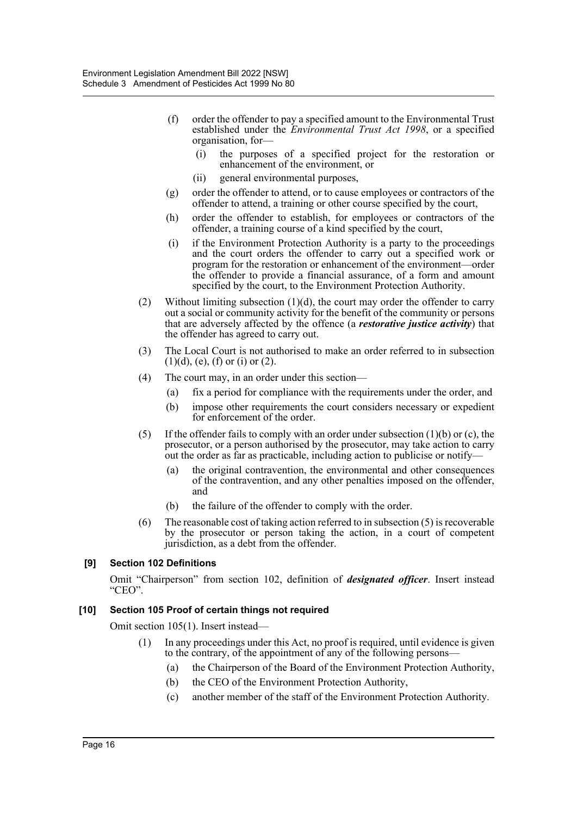- (f) order the offender to pay a specified amount to the Environmental Trust established under the *Environmental Trust Act 1998*, or a specified organisation, for—
	- (i) the purposes of a specified project for the restoration or enhancement of the environment, or
	- (ii) general environmental purposes,
- (g) order the offender to attend, or to cause employees or contractors of the offender to attend, a training or other course specified by the court,
- (h) order the offender to establish, for employees or contractors of the offender, a training course of a kind specified by the court,
- (i) if the Environment Protection Authority is a party to the proceedings and the court orders the offender to carry out a specified work or program for the restoration or enhancement of the environment—order the offender to provide a financial assurance, of a form and amount specified by the court, to the Environment Protection Authority.
- (2) Without limiting subsection  $(1)(d)$ , the court may order the offender to carry out a social or community activity for the benefit of the community or persons that are adversely affected by the offence (a *restorative justice activity*) that the offender has agreed to carry out.
- (3) The Local Court is not authorised to make an order referred to in subsection  $(1)(d)$ , (e), (f) or (i) or (2).
- (4) The court may, in an order under this section—
	- (a) fix a period for compliance with the requirements under the order, and
	- (b) impose other requirements the court considers necessary or expedient for enforcement of the order.
- (5) If the offender fails to comply with an order under subsection  $(1)(b)$  or  $(c)$ , the prosecutor, or a person authorised by the prosecutor, may take action to carry out the order as far as practicable, including action to publicise or notify—
	- (a) the original contravention, the environmental and other consequences of the contravention, and any other penalties imposed on the offender, and
	- (b) the failure of the offender to comply with the order.
- (6) The reasonable cost of taking action referred to in subsection (5) is recoverable by the prosecutor or person taking the action, in a court of competent jurisdiction, as a debt from the offender.

# **[9] Section 102 Definitions**

Omit "Chairperson" from section 102, definition of *designated officer*. Insert instead "CEO".

# **[10] Section 105 Proof of certain things not required**

Omit section 105(1). Insert instead—

- (1) In any proceedings under this Act, no proof is required, until evidence is given to the contrary, of the appointment of any of the following persons—
	- (a) the Chairperson of the Board of the Environment Protection Authority,
	- (b) the CEO of the Environment Protection Authority,
	- (c) another member of the staff of the Environment Protection Authority.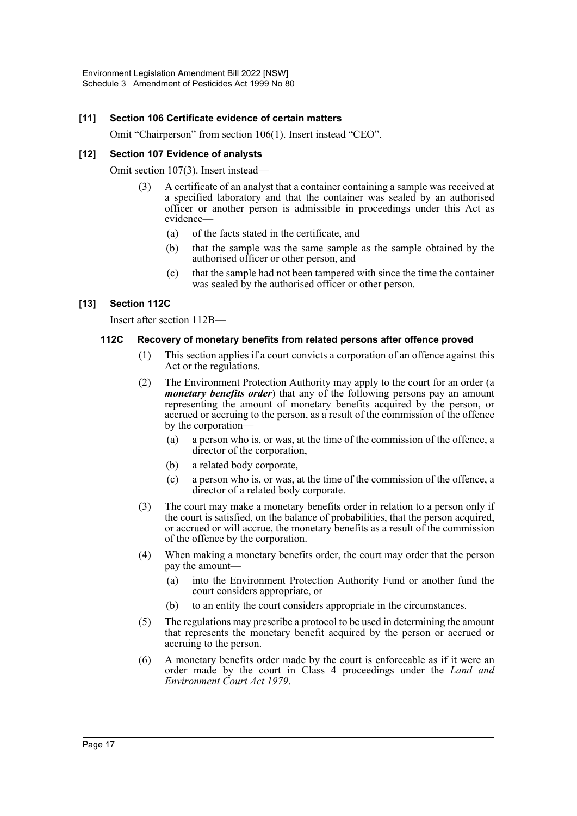# **[11] Section 106 Certificate evidence of certain matters**

Omit "Chairperson" from section 106(1). Insert instead "CEO".

# **[12] Section 107 Evidence of analysts**

Omit section 107(3). Insert instead—

- (3) A certificate of an analyst that a container containing a sample was received at a specified laboratory and that the container was sealed by an authorised officer or another person is admissible in proceedings under this Act as evidence—
	- (a) of the facts stated in the certificate, and
	- (b) that the sample was the same sample as the sample obtained by the authorised officer or other person, and
	- (c) that the sample had not been tampered with since the time the container was sealed by the authorised officer or other person.

# **[13] Section 112C**

Insert after section 112B—

#### **112C Recovery of monetary benefits from related persons after offence proved**

- (1) This section applies if a court convicts a corporation of an offence against this Act or the regulations.
- (2) The Environment Protection Authority may apply to the court for an order (a *monetary benefits order*) that any of the following persons pay an amount representing the amount of monetary benefits acquired by the person, or accrued or accruing to the person, as a result of the commission of the offence by the corporation—
	- (a) a person who is, or was, at the time of the commission of the offence, a director of the corporation,
	- (b) a related body corporate,
	- (c) a person who is, or was, at the time of the commission of the offence, a director of a related body corporate.
- (3) The court may make a monetary benefits order in relation to a person only if the court is satisfied, on the balance of probabilities, that the person acquired, or accrued or will accrue, the monetary benefits as a result of the commission of the offence by the corporation.
- (4) When making a monetary benefits order, the court may order that the person pay the amount—
	- (a) into the Environment Protection Authority Fund or another fund the court considers appropriate, or
	- (b) to an entity the court considers appropriate in the circumstances.
- (5) The regulations may prescribe a protocol to be used in determining the amount that represents the monetary benefit acquired by the person or accrued or accruing to the person.
- (6) A monetary benefits order made by the court is enforceable as if it were an order made by the court in Class 4 proceedings under the *Land and Environment Court Act 1979*.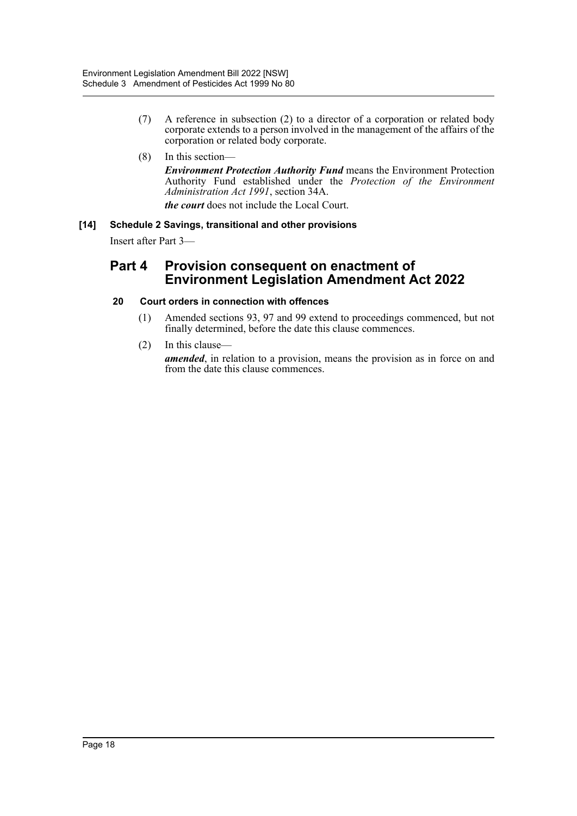(7) A reference in subsection (2) to a director of a corporation or related body corporate extends to a person involved in the management of the affairs of the corporation or related body corporate.

# (8) In this section—

*Environment Protection Authority Fund* means the Environment Protection Authority Fund established under the *Protection of the Environment Administration Act 1991*, section 34A.

*the court* does not include the Local Court.

# **[14] Schedule 2 Savings, transitional and other provisions**

Insert after Part 3—

# **Part 4 Provision consequent on enactment of Environment Legislation Amendment Act 2022**

# **20 Court orders in connection with offences**

- (1) Amended sections 93, 97 and 99 extend to proceedings commenced, but not finally determined, before the date this clause commences.
- (2) In this clause—

*amended*, in relation to a provision, means the provision as in force on and from the date this clause commences.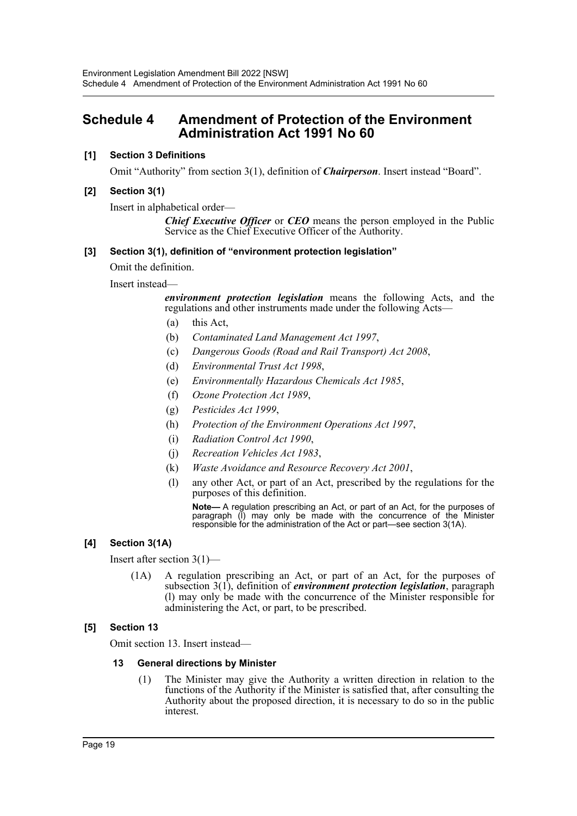# <span id="page-19-0"></span>**Schedule 4 Amendment of Protection of the Environment Administration Act 1991 No 60**

# **[1] Section 3 Definitions**

Omit "Authority" from section 3(1), definition of *Chairperson*. Insert instead "Board".

# **[2] Section 3(1)**

Insert in alphabetical order—

*Chief Executive Officer* or *CEO* means the person employed in the Public Service as the Chief Executive Officer of the Authority.

# **[3] Section 3(1), definition of "environment protection legislation"**

Omit the definition.

Insert instead—

*environment protection legislation* means the following Acts, and the regulations and other instruments made under the following Acts—

- (a) this Act,
- (b) *Contaminated Land Management Act 1997*,
- (c) *Dangerous Goods (Road and Rail Transport) Act 2008*,
- (d) *Environmental Trust Act 1998*,
- (e) *Environmentally Hazardous Chemicals Act 1985*,
- (f) *Ozone Protection Act 1989*,
- (g) *Pesticides Act 1999*,
- (h) *Protection of the Environment Operations Act 1997*,
- (i) *Radiation Control Act 1990*,
- (j) *Recreation Vehicles Act 1983*,
- (k) *Waste Avoidance and Resource Recovery Act 2001*,
- (l) any other Act, or part of an Act, prescribed by the regulations for the purposes of this definition.

**Note—** A regulation prescribing an Act, or part of an Act, for the purposes of paragraph (l) may only be made with the concurrence of the Minister responsible for the administration of the Act or part—see section 3(1A).

# **[4] Section 3(1A)**

Insert after section 3(1)—

(1A) A regulation prescribing an Act, or part of an Act, for the purposes of subsection 3(1), definition of *environment protection legislation*, paragraph (l) may only be made with the concurrence of the Minister responsible for administering the Act, or part, to be prescribed.

# **[5] Section 13**

Omit section 13. Insert instead—

# **13 General directions by Minister**

(1) The Minister may give the Authority a written direction in relation to the functions of the Authority if the Minister is satisfied that, after consulting the Authority about the proposed direction, it is necessary to do so in the public interest.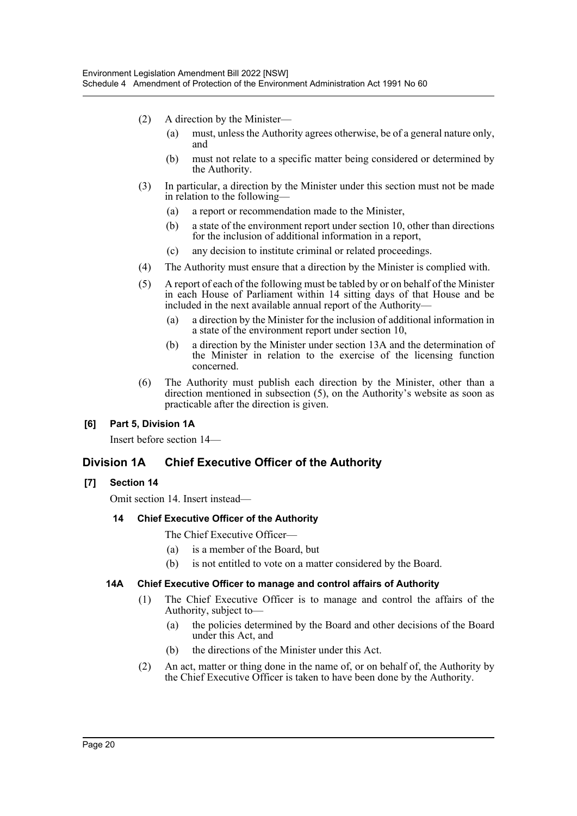- (2) A direction by the Minister—
	- (a) must, unless the Authority agrees otherwise, be of a general nature only, and
	- (b) must not relate to a specific matter being considered or determined by the Authority.
- (3) In particular, a direction by the Minister under this section must not be made in relation to the following—
	- (a) a report or recommendation made to the Minister,
	- (b) a state of the environment report under section 10, other than directions for the inclusion of additional information in a report,
	- (c) any decision to institute criminal or related proceedings.
- (4) The Authority must ensure that a direction by the Minister is complied with.
- (5) A report of each of the following must be tabled by or on behalf of the Minister in each House of Parliament within 14 sitting days of that House and be included in the next available annual report of the Authority—
	- (a) a direction by the Minister for the inclusion of additional information in a state of the environment report under section 10,
	- (b) a direction by the Minister under section 13A and the determination of the Minister in relation to the exercise of the licensing function concerned.
- (6) The Authority must publish each direction by the Minister, other than a direction mentioned in subsection (5), on the Authority's website as soon as practicable after the direction is given.

# **[6] Part 5, Division 1A**

Insert before section 14—

# **Division 1A Chief Executive Officer of the Authority**

# **[7] Section 14**

Omit section 14. Insert instead—

# **14 Chief Executive Officer of the Authority**

The Chief Executive Officer—

- (a) is a member of the Board, but
- (b) is not entitled to vote on a matter considered by the Board.

# **14A Chief Executive Officer to manage and control affairs of Authority**

- (1) The Chief Executive Officer is to manage and control the affairs of the Authority, subject to—
	- (a) the policies determined by the Board and other decisions of the Board under this Act, and
	- (b) the directions of the Minister under this Act.
- (2) An act, matter or thing done in the name of, or on behalf of, the Authority by the Chief Executive Officer is taken to have been done by the Authority.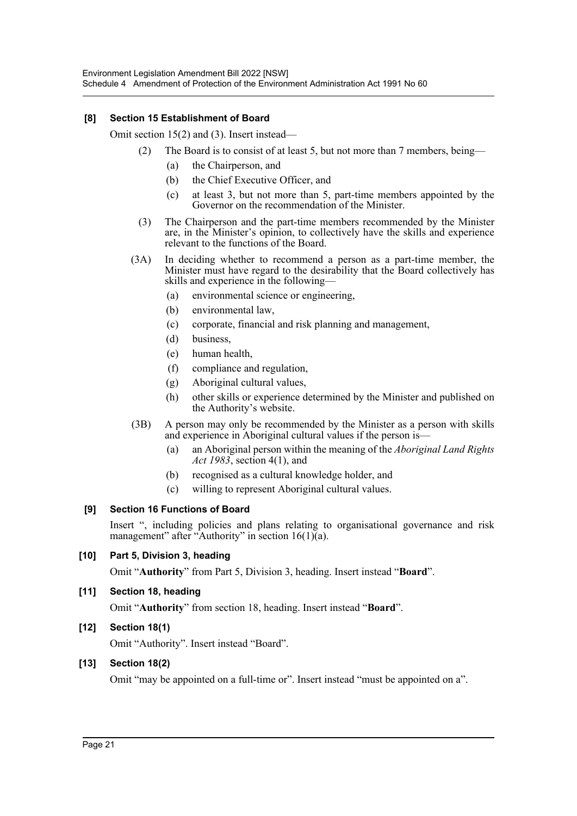# **[8] Section 15 Establishment of Board**

Omit section 15(2) and (3). Insert instead—

- (2) The Board is to consist of at least 5, but not more than 7 members, being—
	- (a) the Chairperson, and
	- (b) the Chief Executive Officer, and
	- (c) at least 3, but not more than 5, part-time members appointed by the Governor on the recommendation of the Minister.
- (3) The Chairperson and the part-time members recommended by the Minister are, in the Minister's opinion, to collectively have the skills and experience relevant to the functions of the Board.
- (3A) In deciding whether to recommend a person as a part-time member, the Minister must have regard to the desirability that the Board collectively has skills and experience in the following—
	- (a) environmental science or engineering,
	- (b) environmental law,
	- (c) corporate, financial and risk planning and management,
	- (d) business,
	- (e) human health,
	- (f) compliance and regulation,
	- (g) Aboriginal cultural values,
	- (h) other skills or experience determined by the Minister and published on the Authority's website.
- (3B) A person may only be recommended by the Minister as a person with skills and experience in Aboriginal cultural values if the person is—
	- (a) an Aboriginal person within the meaning of the *Aboriginal Land Rights Act 1983*, section 4(1), and
	- (b) recognised as a cultural knowledge holder, and
	- (c) willing to represent Aboriginal cultural values.

# **[9] Section 16 Functions of Board**

Insert ", including policies and plans relating to organisational governance and risk management" after "Authority" in section  $16(1)(a)$ .

# **[10] Part 5, Division 3, heading**

Omit "**Authority**" from Part 5, Division 3, heading. Insert instead "**Board**".

# **[11] Section 18, heading**

Omit "**Authority**" from section 18, heading. Insert instead "**Board**".

# **[12] Section 18(1)**

Omit "Authority". Insert instead "Board".

# **[13] Section 18(2)**

Omit "may be appointed on a full-time or". Insert instead "must be appointed on a".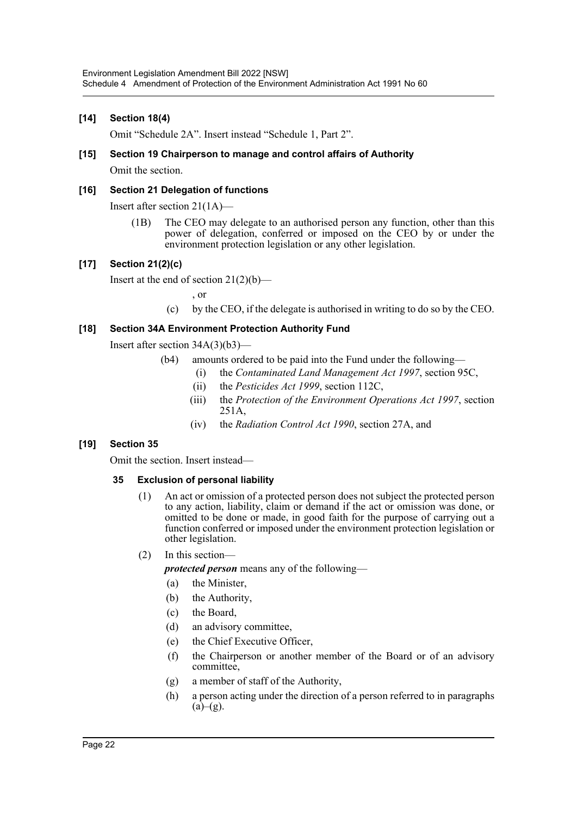# **[14] Section 18(4)**

Omit "Schedule 2A". Insert instead "Schedule 1, Part 2".

# **[15] Section 19 Chairperson to manage and control affairs of Authority** Omit the section.

# **[16] Section 21 Delegation of functions**

Insert after section 21(1A)—

(1B) The CEO may delegate to an authorised person any function, other than this power of delegation, conferred or imposed on the CEO by or under the environment protection legislation or any other legislation.

# **[17] Section 21(2)(c)**

Insert at the end of section  $21(2)(b)$ —

, or

(c) by the CEO, if the delegate is authorised in writing to do so by the CEO.

# **[18] Section 34A Environment Protection Authority Fund**

Insert after section 34A(3)(b3)—

- (b4) amounts ordered to be paid into the Fund under the following—
	- (i) the *Contaminated Land Management Act 1997*, section 95C,
	- (ii) the *Pesticides Act 1999*, section 112C,
	- (iii) the *Protection of the Environment Operations Act 1997*, section 251A,
	- (iv) the *Radiation Control Act 1990*, section 27A, and

# **[19] Section 35**

Omit the section. Insert instead—

# **35 Exclusion of personal liability**

- (1) An act or omission of a protected person does not subject the protected person to any action, liability, claim or demand if the act or omission was done, or omitted to be done or made, in good faith for the purpose of carrying out a function conferred or imposed under the environment protection legislation or other legislation.
- (2) In this section—

*protected person* means any of the following—

- (a) the Minister,
- (b) the Authority,
- (c) the Board,
- (d) an advisory committee,
- (e) the Chief Executive Officer,
- (f) the Chairperson or another member of the Board or of an advisory committee,
- (g) a member of staff of the Authority,
- (h) a person acting under the direction of a person referred to in paragraphs  $(a)$ – $(g)$ .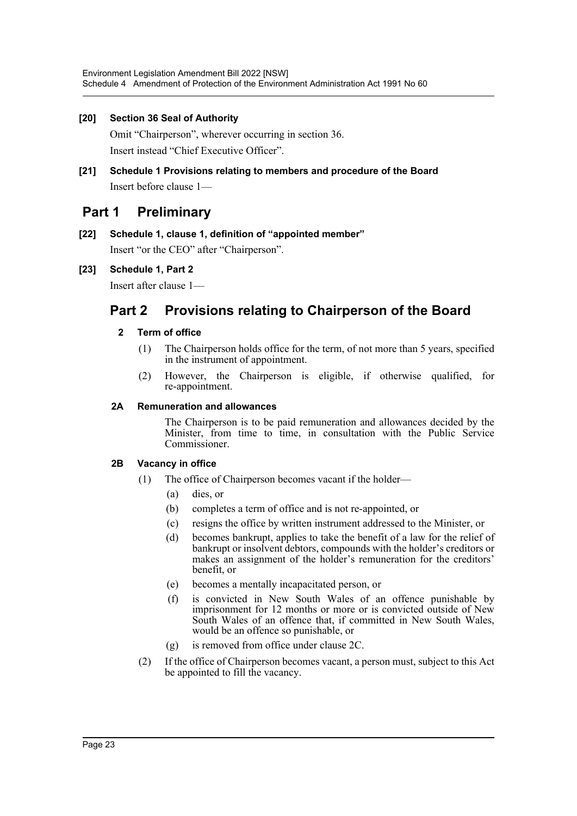# **[20] Section 36 Seal of Authority**

Omit "Chairperson", wherever occurring in section 36. Insert instead "Chief Executive Officer".

**[21] Schedule 1 Provisions relating to members and procedure of the Board** Insert before clause 1—

# **Part 1 Preliminary**

# **[22] Schedule 1, clause 1, definition of "appointed member"**

Insert "or the CEO" after "Chairperson".

# **[23] Schedule 1, Part 2**

Insert after clause 1—

# **Part 2 Provisions relating to Chairperson of the Board**

# **2 Term of office**

- (1) The Chairperson holds office for the term, of not more than 5 years, specified in the instrument of appointment.
- (2) However, the Chairperson is eligible, if otherwise qualified, for re-appointment.

# **2A Remuneration and allowances**

The Chairperson is to be paid remuneration and allowances decided by the Minister, from time to time, in consultation with the Public Service Commissioner.

# **2B Vacancy in office**

- (1) The office of Chairperson becomes vacant if the holder—
	- (a) dies, or
	- (b) completes a term of office and is not re-appointed, or
	- (c) resigns the office by written instrument addressed to the Minister, or
	- (d) becomes bankrupt, applies to take the benefit of a law for the relief of bankrupt or insolvent debtors, compounds with the holder's creditors or makes an assignment of the holder's remuneration for the creditors' benefit, or
	- (e) becomes a mentally incapacitated person, or
	- (f) is convicted in New South Wales of an offence punishable by imprisonment for 12 months or more or is convicted outside of New South Wales of an offence that, if committed in New South Wales, would be an offence so punishable, or
	- (g) is removed from office under clause 2C.
- (2) If the office of Chairperson becomes vacant, a person must, subject to this Act be appointed to fill the vacancy.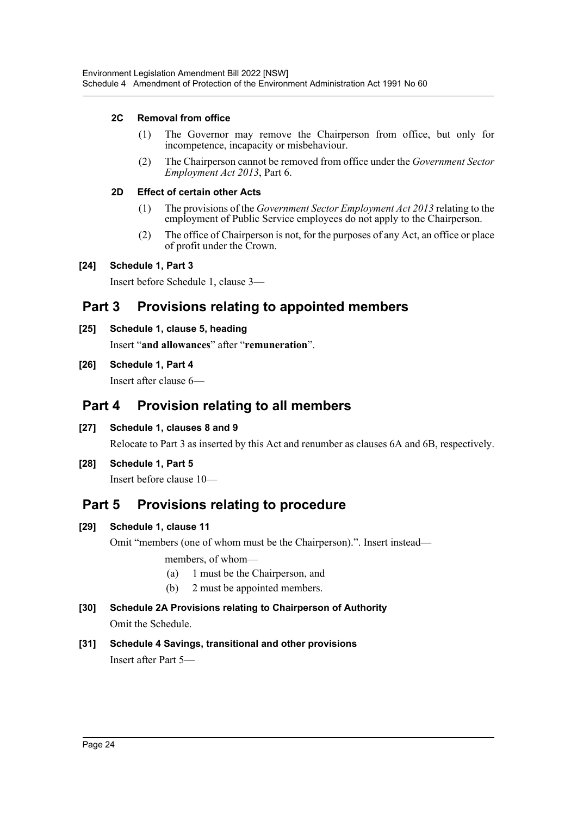# **2C Removal from office**

- (1) The Governor may remove the Chairperson from office, but only for incompetence, incapacity or misbehaviour.
- (2) The Chairperson cannot be removed from office under the *Government Sector Employment Act 2013*, Part 6.

# **2D Effect of certain other Acts**

- (1) The provisions of the *Government Sector Employment Act 2013* relating to the employment of Public Service employees do not apply to the Chairperson.
- (2) The office of Chairperson is not, for the purposes of any Act, an office or place of profit under the Crown.

# **[24] Schedule 1, Part 3**

Insert before Schedule 1, clause 3—

# **Part 3 Provisions relating to appointed members**

**[25] Schedule 1, clause 5, heading**

Insert "**and allowances**" after "**remuneration**".

# **[26] Schedule 1, Part 4**

Insert after clause 6—

# **Part 4 Provision relating to all members**

**[27] Schedule 1, clauses 8 and 9**

Relocate to Part 3 as inserted by this Act and renumber as clauses 6A and 6B, respectively.

**[28] Schedule 1, Part 5**

Insert before clause 10—

# **Part 5 Provisions relating to procedure**

# **[29] Schedule 1, clause 11**

Omit "members (one of whom must be the Chairperson).". Insert instead—

members, of whom—

- (a) 1 must be the Chairperson, and
- (b) 2 must be appointed members.
- **[30] Schedule 2A Provisions relating to Chairperson of Authority** Omit the Schedule.
- **[31] Schedule 4 Savings, transitional and other provisions** Insert after Part 5—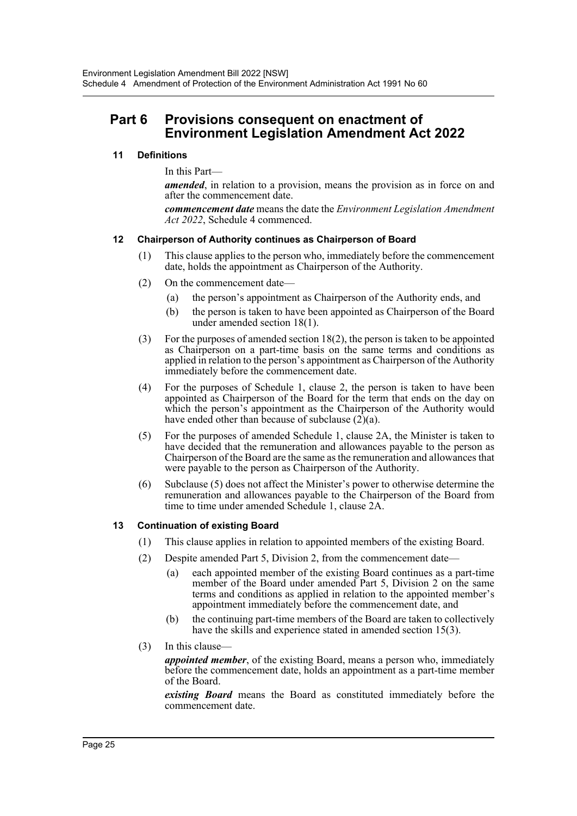# **Part 6 Provisions consequent on enactment of Environment Legislation Amendment Act 2022**

# **11 Definitions**

In this Part—

*amended*, in relation to a provision, means the provision as in force on and after the commencement date.

*commencement date* means the date the *Environment Legislation Amendment Act 2022*, Schedule 4 commenced.

# **12 Chairperson of Authority continues as Chairperson of Board**

- (1) This clause applies to the person who, immediately before the commencement date, holds the appointment as Chairperson of the Authority.
- (2) On the commencement date—
	- (a) the person's appointment as Chairperson of the Authority ends, and
	- (b) the person is taken to have been appointed as Chairperson of the Board under amended section 18(1).
- (3) For the purposes of amended section 18(2), the person is taken to be appointed as Chairperson on a part-time basis on the same terms and conditions as applied in relation to the person's appointment as Chairperson of the Authority immediately before the commencement date.
- (4) For the purposes of Schedule 1, clause 2, the person is taken to have been appointed as Chairperson of the Board for the term that ends on the day on which the person's appointment as the Chairperson of the Authority would have ended other than because of subclause  $(2)(a)$ .
- (5) For the purposes of amended Schedule 1, clause 2A, the Minister is taken to have decided that the remuneration and allowances payable to the person as Chairperson of the Board are the same as the remuneration and allowances that were payable to the person as Chairperson of the Authority.
- (6) Subclause (5) does not affect the Minister's power to otherwise determine the remuneration and allowances payable to the Chairperson of the Board from time to time under amended Schedule 1, clause 2A.

# **13 Continuation of existing Board**

- (1) This clause applies in relation to appointed members of the existing Board.
- (2) Despite amended Part 5, Division 2, from the commencement date—
	- (a) each appointed member of the existing Board continues as a part-time member of the Board under amended Part 5, Division 2 on the same terms and conditions as applied in relation to the appointed member's appointment immediately before the commencement date, and
	- (b) the continuing part-time members of the Board are taken to collectively have the skills and experience stated in amended section 15(3).
- (3) In this clause—

*appointed member*, of the existing Board, means a person who, immediately before the commencement date, holds an appointment as a part-time member of the Board.

*existing Board* means the Board as constituted immediately before the commencement date.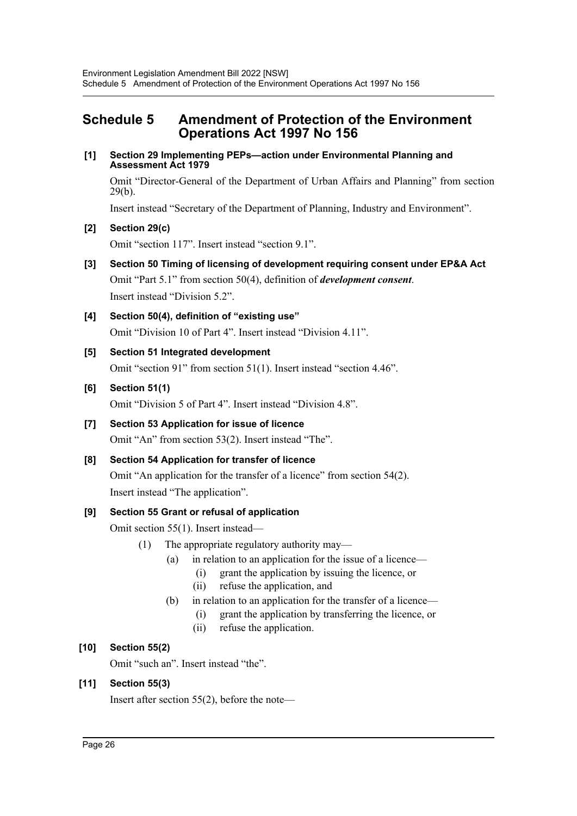# <span id="page-26-0"></span>**Schedule 5 Amendment of Protection of the Environment Operations Act 1997 No 156**

**[1] Section 29 Implementing PEPs—action under Environmental Planning and Assessment Act 1979**

Omit "Director-General of the Department of Urban Affairs and Planning" from section 29(b).

Insert instead "Secretary of the Department of Planning, Industry and Environment".

# **[2] Section 29(c)**

Omit "section 117". Insert instead "section 9.1".

- **[3] Section 50 Timing of licensing of development requiring consent under EP&A Act** Omit "Part 5.1" from section 50(4), definition of *development consent*. Insert instead "Division 5.2".
- **[4] Section 50(4), definition of "existing use"** Omit "Division 10 of Part 4". Insert instead "Division 4.11".

# **[5] Section 51 Integrated development**

Omit "section 91" from section 51(1). Insert instead "section 4.46".

# **[6] Section 51(1)**

Omit "Division 5 of Part 4". Insert instead "Division 4.8".

# **[7] Section 53 Application for issue of licence**

Omit "An" from section 53(2). Insert instead "The".

# **[8] Section 54 Application for transfer of licence**

Omit "An application for the transfer of a licence" from section 54(2). Insert instead "The application".

# **[9] Section 55 Grant or refusal of application**

Omit section 55(1). Insert instead—

- (1) The appropriate regulatory authority may—
	- (a) in relation to an application for the issue of a licence—
		- (i) grant the application by issuing the licence, or
		- (ii) refuse the application, and
	- (b) in relation to an application for the transfer of a licence—
		- (i) grant the application by transferring the licence, or
		- (ii) refuse the application.

# **[10] Section 55(2)**

Omit "such an". Insert instead "the".

# **[11] Section 55(3)**

Insert after section 55(2), before the note—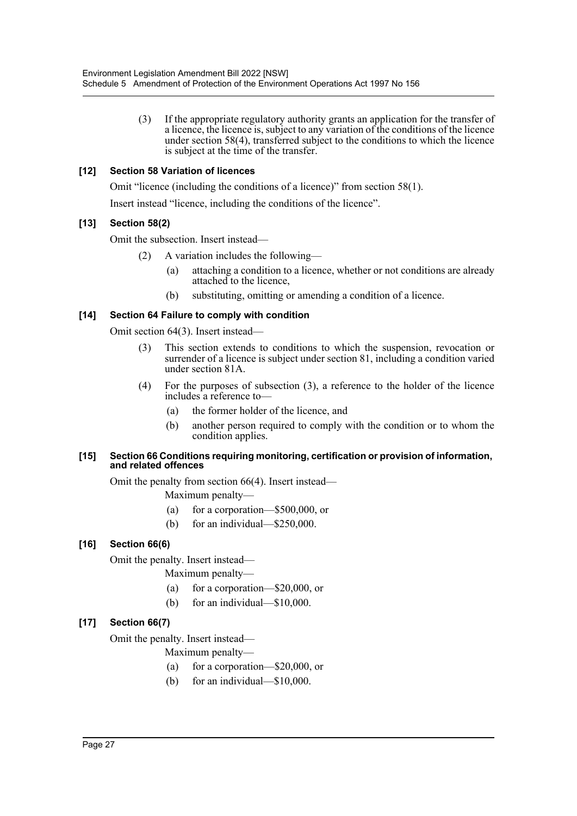(3) If the appropriate regulatory authority grants an application for the transfer of a licence, the licence is, subject to any variation of the conditions of the licence under section 58(4), transferred subject to the conditions to which the licence is subject at the time of the transfer.

# **[12] Section 58 Variation of licences**

Omit "licence (including the conditions of a licence)" from section 58(1).

Insert instead "licence, including the conditions of the licence".

# **[13] Section 58(2)**

Omit the subsection. Insert instead—

- (2) A variation includes the following—
	- (a) attaching a condition to a licence, whether or not conditions are already attached to the licence,
	- (b) substituting, omitting or amending a condition of a licence.

# **[14] Section 64 Failure to comply with condition**

Omit section 64(3). Insert instead—

- (3) This section extends to conditions to which the suspension, revocation or surrender of a licence is subject under section 81, including a condition varied under section 81A.
- (4) For the purposes of subsection (3), a reference to the holder of the licence includes a reference to—
	- (a) the former holder of the licence, and
	- (b) another person required to comply with the condition or to whom the condition applies.

#### **[15] Section 66 Conditions requiring monitoring, certification or provision of information, and related offences**

Omit the penalty from section 66(4). Insert instead—

Maximum penalty—

- (a) for a corporation—\$500,000, or
- (b) for an individual—\$250,000.

# **[16] Section 66(6)**

Omit the penalty. Insert instead—

- Maximum penalty—
- (a) for a corporation—\$20,000, or
- (b) for an individual—\$10,000.

# **[17] Section 66(7)**

Omit the penalty. Insert instead—

Maximum penalty—

- (a) for a corporation—\$20,000, or
- (b) for an individual—\$10,000.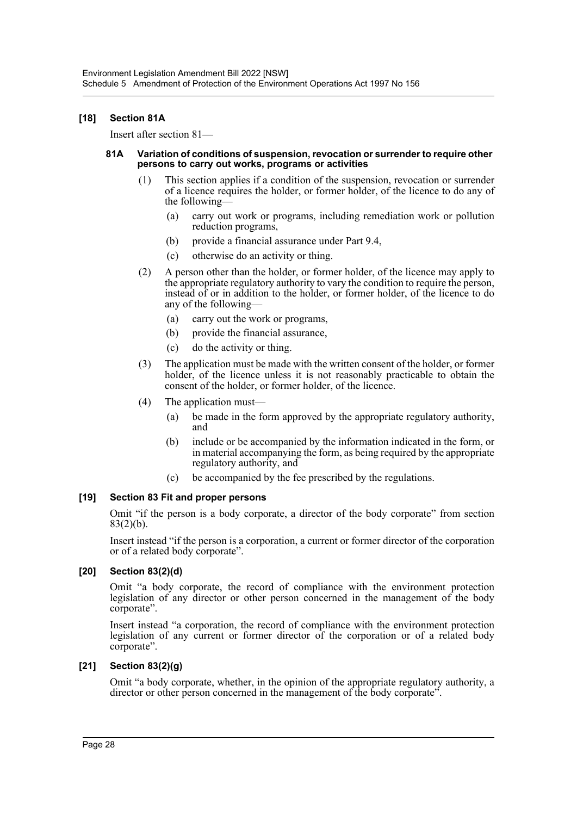# **[18] Section 81A**

Insert after section 81—

#### **81A Variation of conditions of suspension, revocation or surrender to require other persons to carry out works, programs or activities**

- (1) This section applies if a condition of the suspension, revocation or surrender of a licence requires the holder, or former holder, of the licence to do any of the following—
	- (a) carry out work or programs, including remediation work or pollution reduction programs,
	- (b) provide a financial assurance under Part 9.4,
	- (c) otherwise do an activity or thing.
- (2) A person other than the holder, or former holder, of the licence may apply to the appropriate regulatory authority to vary the condition to require the person, instead of or in addition to the holder, or former holder, of the licence to do any of the following—
	- (a) carry out the work or programs,
	- (b) provide the financial assurance,
	- (c) do the activity or thing.
- (3) The application must be made with the written consent of the holder, or former holder, of the licence unless it is not reasonably practicable to obtain the consent of the holder, or former holder, of the licence.
- (4) The application must—
	- (a) be made in the form approved by the appropriate regulatory authority, and
	- (b) include or be accompanied by the information indicated in the form, or in material accompanying the form, as being required by the appropriate regulatory authority, and
	- (c) be accompanied by the fee prescribed by the regulations.

# **[19] Section 83 Fit and proper persons**

Omit "if the person is a body corporate, a director of the body corporate" from section  $83(2)(b)$ .

Insert instead "if the person is a corporation, a current or former director of the corporation or of a related body corporate".

# **[20] Section 83(2)(d)**

Omit "a body corporate, the record of compliance with the environment protection legislation of any director or other person concerned in the management of the body corporate".

Insert instead "a corporation, the record of compliance with the environment protection legislation of any current or former director of the corporation or of a related body corporate".

# **[21] Section 83(2)(g)**

Omit "a body corporate, whether, in the opinion of the appropriate regulatory authority, a director or other person concerned in the management of the body corporate".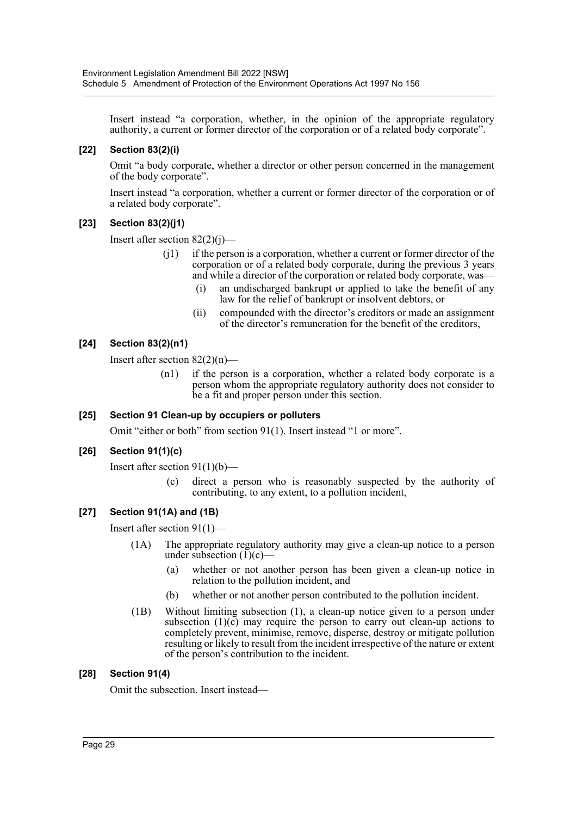Insert instead "a corporation, whether, in the opinion of the appropriate regulatory authority, a current or former director of the corporation or of a related body corporate".

# **[22] Section 83(2)(i)**

Omit "a body corporate, whether a director or other person concerned in the management of the body corporate".

Insert instead "a corporation, whether a current or former director of the corporation or of a related body corporate".

# **[23] Section 83(2)(j1)**

Insert after section  $82(2)(i)$ —

- (j1) if the person is a corporation, whether a current or former director of the corporation or of a related body corporate, during the previous 3 years and while a director of the corporation or related body corporate, was—
	- (i) an undischarged bankrupt or applied to take the benefit of any law for the relief of bankrupt or insolvent debtors, or
	- (ii) compounded with the director's creditors or made an assignment of the director's remuneration for the benefit of the creditors,

# **[24] Section 83(2)(n1)**

Insert after section 82(2)(n)—

(n1) if the person is a corporation, whether a related body corporate is a person whom the appropriate regulatory authority does not consider to be a fit and proper person under this section.

# **[25] Section 91 Clean-up by occupiers or polluters**

Omit "either or both" from section 91(1). Insert instead "1 or more".

# **[26] Section 91(1)(c)**

Insert after section  $91(1)(b)$ —

(c) direct a person who is reasonably suspected by the authority of contributing, to any extent, to a pollution incident,

# **[27] Section 91(1A) and (1B)**

Insert after section 91(1)—

- (1A) The appropriate regulatory authority may give a clean-up notice to a person under subsection  $(I)(c)$ –
	- (a) whether or not another person has been given a clean-up notice in relation to the pollution incident, and
	- (b) whether or not another person contributed to the pollution incident.
- (1B) Without limiting subsection (1), a clean-up notice given to a person under subsection  $(1)(c)$  may require the person to carry out clean-up actions to completely prevent, minimise, remove, disperse, destroy or mitigate pollution resulting or likely to result from the incident irrespective of the nature or extent of the person's contribution to the incident.

# **[28] Section 91(4)**

Omit the subsection. Insert instead—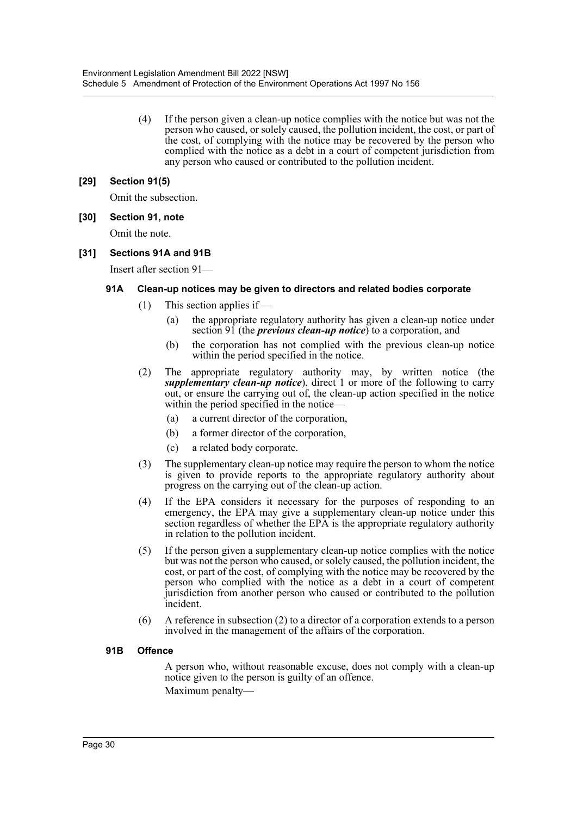(4) If the person given a clean-up notice complies with the notice but was not the person who caused, or solely caused, the pollution incident, the cost, or part of the cost, of complying with the notice may be recovered by the person who complied with the notice as a debt in a court of competent jurisdiction from any person who caused or contributed to the pollution incident.

# **[29] Section 91(5)**

Omit the subsection.

**[30] Section 91, note**

Omit the note.

# **[31] Sections 91A and 91B**

Insert after section 91—

# **91A Clean-up notices may be given to directors and related bodies corporate**

- $(1)$  This section applies if
	- (a) the appropriate regulatory authority has given a clean-up notice under section 91 (the *previous clean-up notice*) to a corporation, and
	- (b) the corporation has not complied with the previous clean-up notice within the period specified in the notice.
- (2) The appropriate regulatory authority may, by written notice (the *supplementary clean-up notice*), direct 1 or more of the following to carry out, or ensure the carrying out of, the clean-up action specified in the notice within the period specified in the notice—
	- (a) a current director of the corporation,
	- (b) a former director of the corporation,
	- (c) a related body corporate.
- (3) The supplementary clean-up notice may require the person to whom the notice is given to provide reports to the appropriate regulatory authority about progress on the carrying out of the clean-up action.
- (4) If the EPA considers it necessary for the purposes of responding to an emergency, the EPA may give a supplementary clean-up notice under this section regardless of whether the EPA is the appropriate regulatory authority in relation to the pollution incident.
- (5) If the person given a supplementary clean-up notice complies with the notice but was not the person who caused, or solely caused, the pollution incident, the cost, or part of the cost, of complying with the notice may be recovered by the person who complied with the notice as a debt in a court of competent jurisdiction from another person who caused or contributed to the pollution incident.
- (6) A reference in subsection (2) to a director of a corporation extends to a person involved in the management of the affairs of the corporation.

# **91B Offence**

A person who, without reasonable excuse, does not comply with a clean-up notice given to the person is guilty of an offence. Maximum penalty—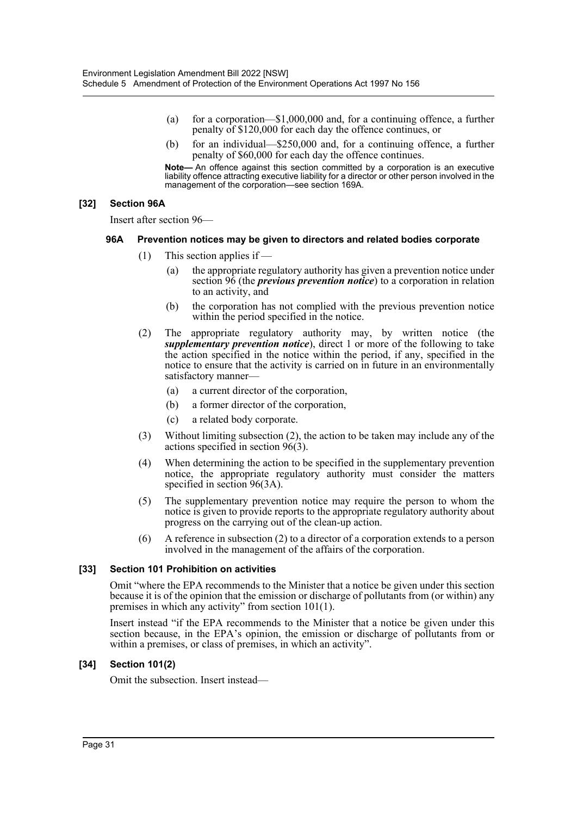- (a) for a corporation— $$1,000,000$  and, for a continuing offence, a further penalty of \$120,000 for each day the offence continues, or
- (b) for an individual—\$250,000 and, for a continuing offence, a further penalty of \$60,000 for each day the offence continues.

**Note—** An offence against this section committed by a corporation is an executive liability offence attracting executive liability for a director or other person involved in the management of the corporation—see section 169A.

## **[32] Section 96A**

Insert after section 96—

#### **96A Prevention notices may be given to directors and related bodies corporate**

- $(1)$  This section applies if  $-$ 
	- (a) the appropriate regulatory authority has given a prevention notice under section 96 (the *previous prevention notice*) to a corporation in relation to an activity, and
	- (b) the corporation has not complied with the previous prevention notice within the period specified in the notice.
- (2) The appropriate regulatory authority may, by written notice (the *supplementary prevention notice*), direct 1 or more of the following to take the action specified in the notice within the period, if any, specified in the notice to ensure that the activity is carried on in future in an environmentally satisfactory manner—
	- (a) a current director of the corporation,
	- (b) a former director of the corporation,
	- (c) a related body corporate.
- (3) Without limiting subsection (2), the action to be taken may include any of the actions specified in section  $96(3)$ .
- (4) When determining the action to be specified in the supplementary prevention notice, the appropriate regulatory authority must consider the matters specified in section 96(3A).
- (5) The supplementary prevention notice may require the person to whom the notice is given to provide reports to the appropriate regulatory authority about progress on the carrying out of the clean-up action.
- (6) A reference in subsection (2) to a director of a corporation extends to a person involved in the management of the affairs of the corporation.

# **[33] Section 101 Prohibition on activities**

Omit "where the EPA recommends to the Minister that a notice be given under this section because it is of the opinion that the emission or discharge of pollutants from (or within) any premises in which any activity" from section 101(1).

Insert instead "if the EPA recommends to the Minister that a notice be given under this section because, in the EPA's opinion, the emission or discharge of pollutants from or within a premises, or class of premises, in which an activity".

# **[34] Section 101(2)**

Omit the subsection. Insert instead—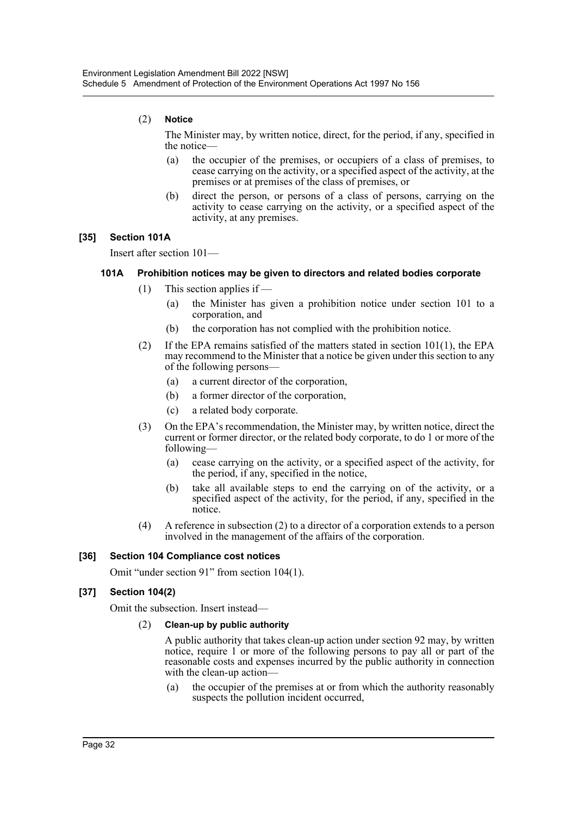# (2) **Notice**

The Minister may, by written notice, direct, for the period, if any, specified in the notice—

- (a) the occupier of the premises, or occupiers of a class of premises, to cease carrying on the activity, or a specified aspect of the activity, at the premises or at premises of the class of premises, or
- (b) direct the person, or persons of a class of persons, carrying on the activity to cease carrying on the activity, or a specified aspect of the activity, at any premises.

# **[35] Section 101A**

Insert after section 101—

# **101A Prohibition notices may be given to directors and related bodies corporate**

- $(1)$  This section applies if
	- (a) the Minister has given a prohibition notice under section 101 to a corporation, and
	- (b) the corporation has not complied with the prohibition notice.
- (2) If the EPA remains satisfied of the matters stated in section 101(1), the EPA may recommend to the Minister that a notice be given under this section to any of the following persons—
	- (a) a current director of the corporation,
	- (b) a former director of the corporation,
	- (c) a related body corporate.
- (3) On the EPA's recommendation, the Minister may, by written notice, direct the current or former director, or the related body corporate, to do 1 or more of the following—
	- (a) cease carrying on the activity, or a specified aspect of the activity, for the period, if any, specified in the notice,
	- (b) take all available steps to end the carrying on of the activity, or a specified aspect of the activity, for the period, if any, specified in the notice.
- (4) A reference in subsection (2) to a director of a corporation extends to a person involved in the management of the affairs of the corporation.

# **[36] Section 104 Compliance cost notices**

Omit "under section 91" from section 104(1).

# **[37] Section 104(2)**

Omit the subsection. Insert instead—

# (2) **Clean-up by public authority**

A public authority that takes clean-up action under section 92 may, by written notice, require 1 or more of the following persons to pay all or part of the reasonable costs and expenses incurred by the public authority in connection with the clean-up action-

(a) the occupier of the premises at or from which the authority reasonably suspects the pollution incident occurred,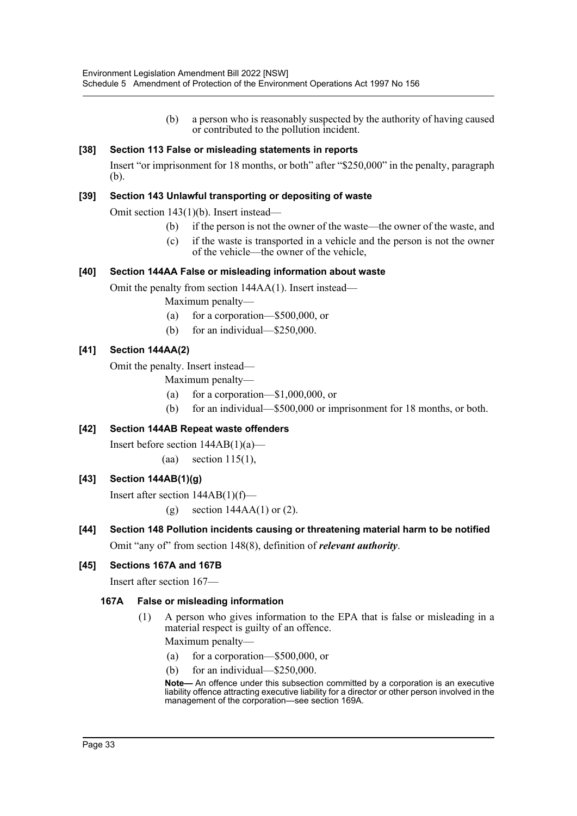(b) a person who is reasonably suspected by the authority of having caused or contributed to the pollution incident.

# **[38] Section 113 False or misleading statements in reports**

Insert "or imprisonment for 18 months, or both" after "\$250,000" in the penalty, paragraph (b).

# **[39] Section 143 Unlawful transporting or depositing of waste**

Omit section 143(1)(b). Insert instead—

- (b) if the person is not the owner of the waste—the owner of the waste, and
- (c) if the waste is transported in a vehicle and the person is not the owner of the vehicle—the owner of the vehicle,

# **[40] Section 144AA False or misleading information about waste**

Omit the penalty from section 144AA(1). Insert instead—

Maximum penalty—

- (a) for a corporation—\$500,000, or
- (b) for an individual—\$250,000.

# **[41] Section 144AA(2)**

Omit the penalty. Insert instead—

Maximum penalty—

- (a) for a corporation—\$1,000,000, or
- (b) for an individual—\$500,000 or imprisonment for 18 months, or both.

# **[42] Section 144AB Repeat waste offenders**

Insert before section  $144AB(1)(a)$ —

(aa) section  $115(1)$ ,

# **[43] Section 144AB(1)(g)**

Insert after section 144AB(1)(f)— (g) section 144AA(1) or (2).

**[44] Section 148 Pollution incidents causing or threatening material harm to be notified** Omit "any of" from section 148(8), definition of *relevant authority*.

# **[45] Sections 167A and 167B**

Insert after section 167—

# **167A False or misleading information**

(1) A person who gives information to the EPA that is false or misleading in a material respect is guilty of an offence.

Maximum penalty—

- (a) for a corporation—\$500,000, or
- (b) for an individual—\$250,000.

**Note—** An offence under this subsection committed by a corporation is an executive liability offence attracting executive liability for a director or other person involved in the management of the corporation—see section 169A.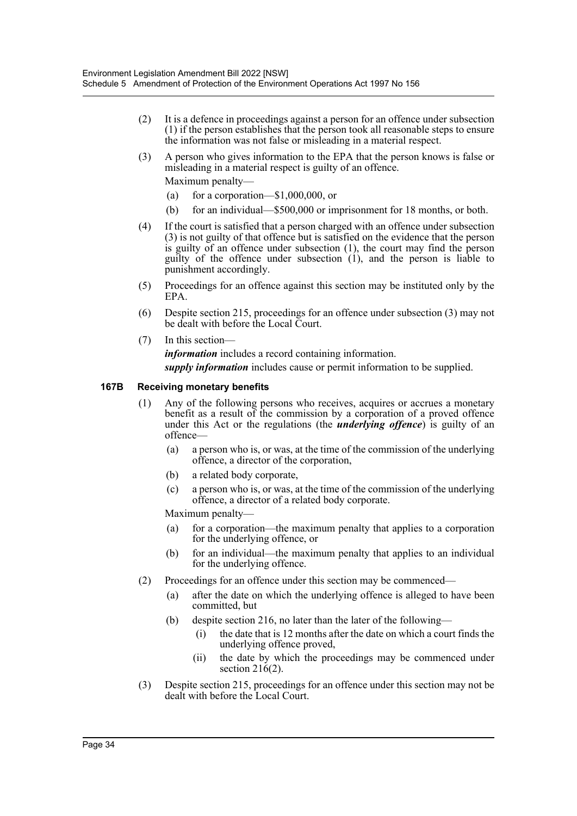- (2) It is a defence in proceedings against a person for an offence under subsection (1) if the person establishes that the person took all reasonable steps to ensure the information was not false or misleading in a material respect.
- (3) A person who gives information to the EPA that the person knows is false or misleading in a material respect is guilty of an offence. Maximum penalty—
	- (a) for a corporation— $$1,000,000$ , or
	- (b) for an individual—\$500,000 or imprisonment for 18 months, or both.
- (4) If the court is satisfied that a person charged with an offence under subsection (3) is not guilty of that offence but is satisfied on the evidence that the person is guilty of an offence under subsection (1), the court may find the person guilty of the offence under subsection  $(1)$ , and the person is liable to punishment accordingly.
- (5) Proceedings for an offence against this section may be instituted only by the EPA.
- (6) Despite section 215, proceedings for an offence under subsection (3) may not be dealt with before the Local Court.
- (7) In this section *information* includes a record containing information. *supply information* includes cause or permit information to be supplied.

# **167B Receiving monetary benefits**

- (1) Any of the following persons who receives, acquires or accrues a monetary benefit as a result of the commission by a corporation of a proved offence under this Act or the regulations (the *underlying offence*) is guilty of an offence—
	- (a) a person who is, or was, at the time of the commission of the underlying offence, a director of the corporation,
	- (b) a related body corporate,
	- (c) a person who is, or was, at the time of the commission of the underlying offence, a director of a related body corporate.

Maximum penalty—

- (a) for a corporation—the maximum penalty that applies to a corporation for the underlying offence, or
- (b) for an individual—the maximum penalty that applies to an individual for the underlying offence.
- (2) Proceedings for an offence under this section may be commenced—
	- (a) after the date on which the underlying offence is alleged to have been committed, but
	- (b) despite section 216, no later than the later of the following—
		- (i) the date that is 12 months after the date on which a court finds the underlying offence proved,
		- (ii) the date by which the proceedings may be commenced under section 216(2).
- (3) Despite section 215, proceedings for an offence under this section may not be dealt with before the Local Court.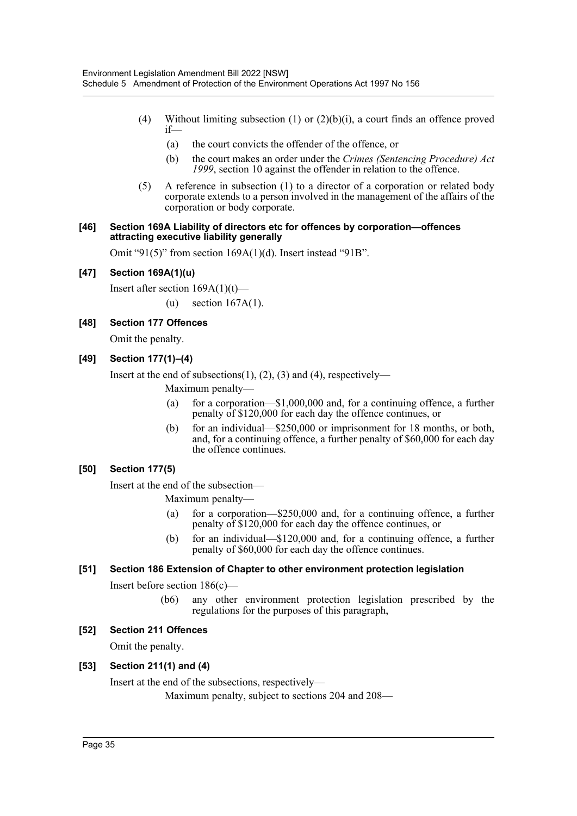- (4) Without limiting subsection (1) or  $(2)(b)(i)$ , a court finds an offence proved if—
	- (a) the court convicts the offender of the offence, or
	- (b) the court makes an order under the *Crimes (Sentencing Procedure) Act 1999*, section 10 against the offender in relation to the offence.
- (5) A reference in subsection (1) to a director of a corporation or related body corporate extends to a person involved in the management of the affairs of the corporation or body corporate.

#### **[46] Section 169A Liability of directors etc for offences by corporation—offences attracting executive liability generally**

Omit "91(5)" from section 169A(1)(d). Insert instead "91B".

# **[47] Section 169A(1)(u)**

Insert after section 169A(1)(t)—

(u) section 167A(1).

# **[48] Section 177 Offences**

Omit the penalty.

# **[49] Section 177(1)–(4)**

Insert at the end of subsections(1), (2), (3) and (4), respectively—

- Maximum penalty—
- (a) for a corporation—\$1,000,000 and, for a continuing offence, a further penalty of \$120,000 for each day the offence continues, or
- (b) for an individual—\$250,000 or imprisonment for 18 months, or both, and, for a continuing offence, a further penalty of \$60,000 for each day the offence continues.

# **[50] Section 177(5)**

Insert at the end of the subsection—

Maximum penalty—

- (a) for a corporation—\$250,000 and, for a continuing offence, a further penalty of \$120,000 for each day the offence continues, or
- (b) for an individual—\$120,000 and, for a continuing offence, a further penalty of \$60,000 for each day the offence continues.

# **[51] Section 186 Extension of Chapter to other environment protection legislation**

Insert before section 186(c)—

(b6) any other environment protection legislation prescribed by the regulations for the purposes of this paragraph,

# **[52] Section 211 Offences**

Omit the penalty.

# **[53] Section 211(1) and (4)**

Insert at the end of the subsections, respectively—

Maximum penalty, subject to sections 204 and 208—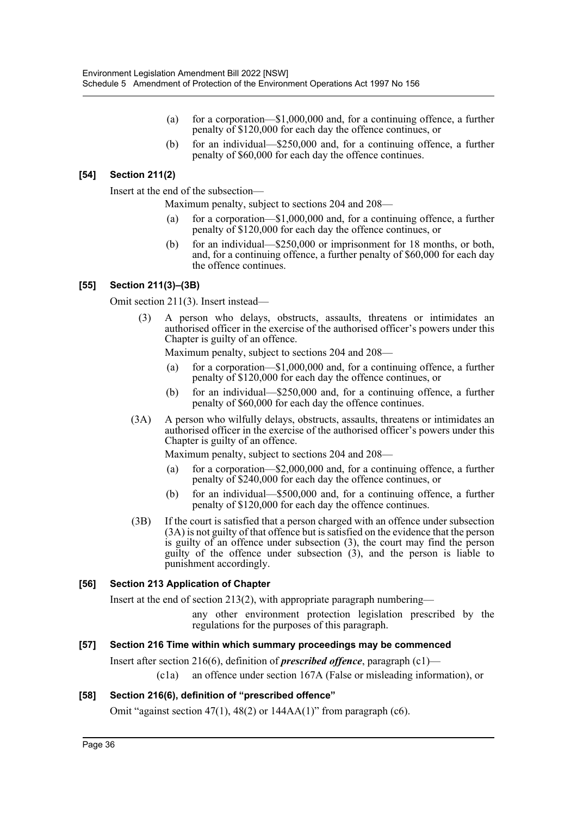- (a) for a corporation—\$1,000,000 and, for a continuing offence, a further penalty of \$120,000 for each day the offence continues, or
- (b) for an individual—\$250,000 and, for a continuing offence, a further penalty of \$60,000 for each day the offence continues.

# **[54] Section 211(2)**

Insert at the end of the subsection—

Maximum penalty, subject to sections 204 and 208—

- (a) for a corporation—\$1,000,000 and, for a continuing offence, a further penalty of \$120,000 for each day the offence continues, or
- (b) for an individual—\$250,000 or imprisonment for 18 months, or both, and, for a continuing offence, a further penalty of \$60,000 for each day the offence continues.

# **[55] Section 211(3)–(3B)**

Omit section 211(3). Insert instead—

(3) A person who delays, obstructs, assaults, threatens or intimidates an authorised officer in the exercise of the authorised officer's powers under this Chapter is guilty of an offence.

Maximum penalty, subject to sections 204 and 208—

- (a) for a corporation—\$1,000,000 and, for a continuing offence, a further penalty of \$120,000 for each day the offence continues, or
- (b) for an individual—\$250,000 and, for a continuing offence, a further penalty of \$60,000 for each day the offence continues.
- (3A) A person who wilfully delays, obstructs, assaults, threatens or intimidates an authorised officer in the exercise of the authorised officer's powers under this Chapter is guilty of an offence.

Maximum penalty, subject to sections 204 and 208—

- (a) for a corporation—\$2,000,000 and, for a continuing offence, a further penalty of \$240,000 for each day the offence continues, or
- (b) for an individual—\$500,000 and, for a continuing offence, a further penalty of \$120,000 for each day the offence continues.
- (3B) If the court is satisfied that a person charged with an offence under subsection (3A) is not guilty of that offence but is satisfied on the evidence that the person is guilty of an offence under subsection (3), the court may find the person guilty of the offence under subsection  $(3)$ , and the person is liable to punishment accordingly.

# **[56] Section 213 Application of Chapter**

Insert at the end of section 213(2), with appropriate paragraph numbering—

any other environment protection legislation prescribed by the regulations for the purposes of this paragraph.

# **[57] Section 216 Time within which summary proceedings may be commenced**

Insert after section 216(6), definition of *prescribed offence*, paragraph (c1)—

(c1a) an offence under section 167A (False or misleading information), or

# **[58] Section 216(6), definition of "prescribed offence"**

Omit "against section 47(1), 48(2) or  $144AA(1)$ " from paragraph (c6).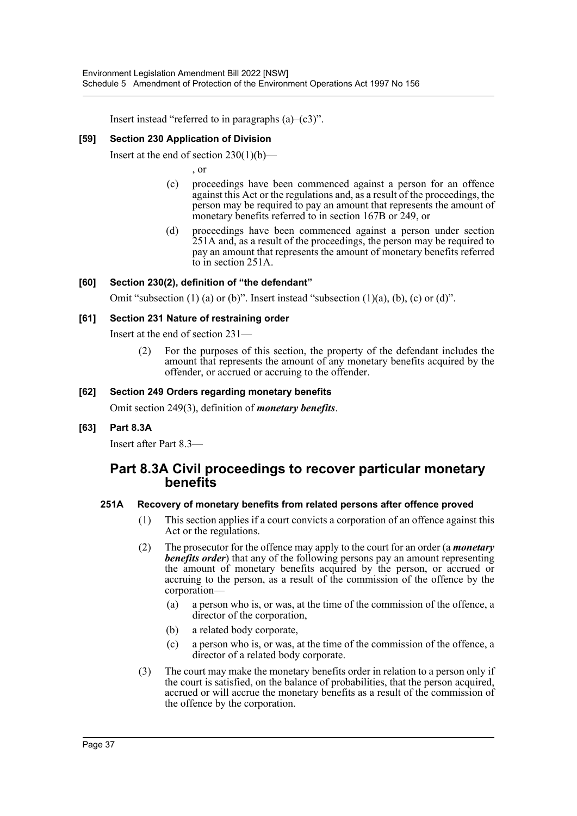Insert instead "referred to in paragraphs  $(a)$ – $(c3)$ ".

# **[59] Section 230 Application of Division**

Insert at the end of section  $230(1)(b)$ —

, or

- (c) proceedings have been commenced against a person for an offence against this Act or the regulations and, as a result of the proceedings, the person may be required to pay an amount that represents the amount of monetary benefits referred to in section 167B or 249, or
- (d) proceedings have been commenced against a person under section 251A and, as a result of the proceedings, the person may be required to pay an amount that represents the amount of monetary benefits referred to in section 251A.

# **[60] Section 230(2), definition of "the defendant"**

Omit "subsection  $(1)$  (a) or  $(b)$ ". Insert instead "subsection  $(1)(a)$ ,  $(b)$ ,  $(c)$  or  $(d)$ ".

# **[61] Section 231 Nature of restraining order**

Insert at the end of section 231—

(2) For the purposes of this section, the property of the defendant includes the amount that represents the amount of any monetary benefits acquired by the offender, or accrued or accruing to the offender.

# **[62] Section 249 Orders regarding monetary benefits**

Omit section 249(3), definition of *monetary benefits*.

# **[63] Part 8.3A**

Insert after Part 8.3—

# **Part 8.3A Civil proceedings to recover particular monetary benefits**

# **251A Recovery of monetary benefits from related persons after offence proved**

- (1) This section applies if a court convicts a corporation of an offence against this Act or the regulations.
- (2) The prosecutor for the offence may apply to the court for an order (a *monetary benefits order*) that any of the following persons pay an amount representing the amount of monetary benefits acquired by the person, or accrued or accruing to the person, as a result of the commission of the offence by the corporation—
	- (a) a person who is, or was, at the time of the commission of the offence, a director of the corporation,
	- (b) a related body corporate,
	- (c) a person who is, or was, at the time of the commission of the offence, a director of a related body corporate.
- (3) The court may make the monetary benefits order in relation to a person only if the court is satisfied, on the balance of probabilities, that the person acquired, accrued or will accrue the monetary benefits as a result of the commission of the offence by the corporation.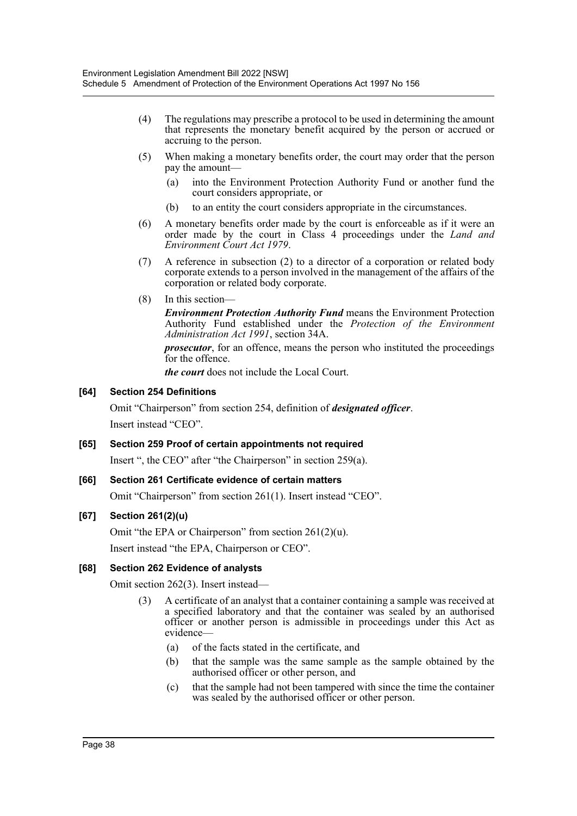- (4) The regulations may prescribe a protocol to be used in determining the amount that represents the monetary benefit acquired by the person or accrued or accruing to the person.
- (5) When making a monetary benefits order, the court may order that the person pay the amount—
	- (a) into the Environment Protection Authority Fund or another fund the court considers appropriate, or
	- (b) to an entity the court considers appropriate in the circumstances.
- (6) A monetary benefits order made by the court is enforceable as if it were an order made by the court in Class 4 proceedings under the *Land and Environment Court Act 1979*.
- (7) A reference in subsection (2) to a director of a corporation or related body corporate extends to a person involved in the management of the affairs of the corporation or related body corporate.
- (8) In this section—

*Environment Protection Authority Fund* means the Environment Protection Authority Fund established under the *Protection of the Environment Administration Act 1991*, section 34A.

*prosecutor*, for an offence, means the person who instituted the proceedings for the offence.

*the court* does not include the Local Court.

# **[64] Section 254 Definitions**

Omit "Chairperson" from section 254, definition of *designated officer*. Insert instead "CEO".

# **[65] Section 259 Proof of certain appointments not required**

Insert ", the CEO" after "the Chairperson" in section 259(a).

# **[66] Section 261 Certificate evidence of certain matters**

Omit "Chairperson" from section 261(1). Insert instead "CEO".

# **[67] Section 261(2)(u)**

Omit "the EPA or Chairperson" from section 261(2)(u).

Insert instead "the EPA, Chairperson or CEO".

# **[68] Section 262 Evidence of analysts**

Omit section 262(3). Insert instead—

- (3) A certificate of an analyst that a container containing a sample was received at a specified laboratory and that the container was sealed by an authorised officer or another person is admissible in proceedings under this Act as evidence—
	- (a) of the facts stated in the certificate, and
	- (b) that the sample was the same sample as the sample obtained by the authorised officer or other person, and
	- (c) that the sample had not been tampered with since the time the container was sealed by the authorised officer or other person.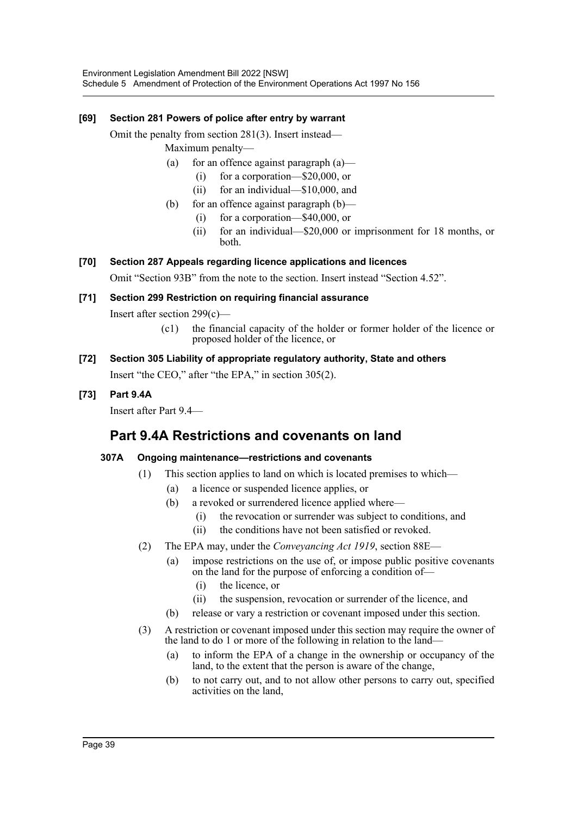# **[69] Section 281 Powers of police after entry by warrant**

Omit the penalty from section 281(3). Insert instead— Maximum penalty—

- (a) for an offence against paragraph  $(a)$ 
	- (i) for a corporation—\$20,000, or
	- (ii) for an individual—\$10,000, and
- (b) for an offence against paragraph (b)—
	- (i) for a corporation—\$40,000, or
	- (ii) for an individual—\$20,000 or imprisonment for 18 months, or both.

# **[70] Section 287 Appeals regarding licence applications and licences**

Omit "Section 93B" from the note to the section. Insert instead "Section 4.52".

# **[71] Section 299 Restriction on requiring financial assurance**

Insert after section 299(c)—

- (c1) the financial capacity of the holder or former holder of the licence or proposed holder of the licence, or
- **[72] Section 305 Liability of appropriate regulatory authority, State and others** Insert "the CEO," after "the EPA," in section 305(2).

# **[73] Part 9.4A**

Insert after Part 9.4—

# **Part 9.4A Restrictions and covenants on land**

# **307A Ongoing maintenance—restrictions and covenants**

- (1) This section applies to land on which is located premises to which—
	- (a) a licence or suspended licence applies, or
	- (b) a revoked or surrendered licence applied where—
		- (i) the revocation or surrender was subject to conditions, and
		- (ii) the conditions have not been satisfied or revoked.
- (2) The EPA may, under the *Conveyancing Act 1919*, section 88E—
	- (a) impose restrictions on the use of, or impose public positive covenants on the land for the purpose of enforcing a condition of—
		- (i) the licence, or
		- (ii) the suspension, revocation or surrender of the licence, and
	- (b) release or vary a restriction or covenant imposed under this section.
- (3) A restriction or covenant imposed under this section may require the owner of the land to do 1 or more of the following in relation to the land—
	- (a) to inform the EPA of a change in the ownership or occupancy of the land, to the extent that the person is aware of the change,
	- (b) to not carry out, and to not allow other persons to carry out, specified activities on the land,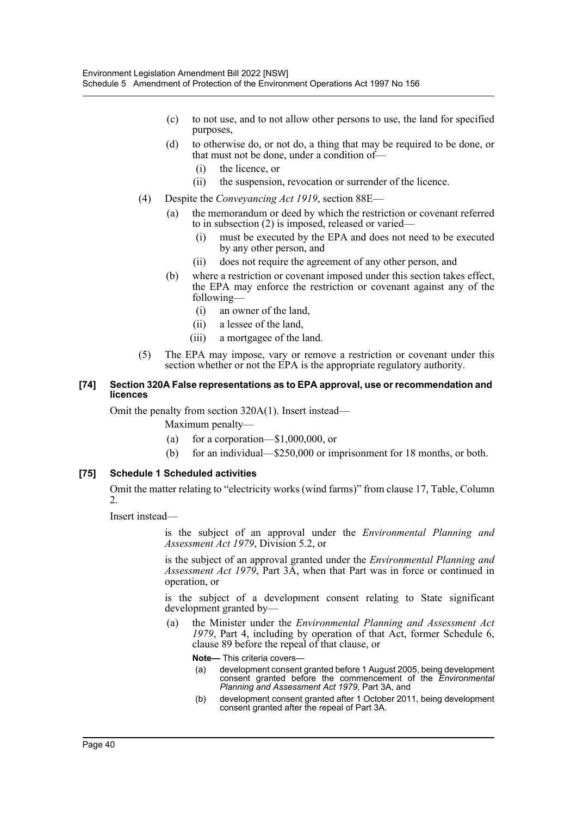- (c) to not use, and to not allow other persons to use, the land for specified purposes,
- (d) to otherwise do, or not do, a thing that may be required to be done, or that must not be done, under a condition of—
	- (i) the licence, or
	- (ii) the suspension, revocation or surrender of the licence.
- (4) Despite the *Conveyancing Act 1919*, section 88E—
	- (a) the memorandum or deed by which the restriction or covenant referred to in subsection (2) is imposed, released or varied—
		- (i) must be executed by the EPA and does not need to be executed by any other person, and
		- (ii) does not require the agreement of any other person, and
	- (b) where a restriction or covenant imposed under this section takes effect, the EPA may enforce the restriction or covenant against any of the following—
		- (i) an owner of the land,
		- (ii) a lessee of the land,
		- (iii) a mortgagee of the land.
- (5) The EPA may impose, vary or remove a restriction or covenant under this section whether or not the EPA is the appropriate regulatory authority.

#### **[74] Section 320A False representations as to EPA approval, use or recommendation and licences**

Omit the penalty from section 320A(1). Insert instead—

Maximum penalty—

- (a) for a corporation— $$1,000,000$ , or
- (b) for an individual—\$250,000 or imprisonment for 18 months, or both.

# **[75] Schedule 1 Scheduled activities**

Omit the matter relating to "electricity works (wind farms)" from clause 17, Table, Column 2.

Insert instead—

is the subject of an approval under the *Environmental Planning and Assessment Act 1979*, Division 5.2, or

is the subject of an approval granted under the *Environmental Planning and Assessment Act 1979*, Part 3A, when that Part was in force or continued in operation, or

is the subject of a development consent relating to State significant development granted by—

(a) the Minister under the *Environmental Planning and Assessment Act 1979*, Part 4, including by operation of that Act, former Schedule 6, clause 89 before the repeal of that clause, or

**Note—** This criteria covers—

- (a) development consent granted before 1 August 2005, being development consent granted before the commencement of the *Environmental Planning and Assessment Act 1979*, Part 3A, and
- (b) development consent granted after 1 October 2011, being development consent granted after the repeal of Part 3A.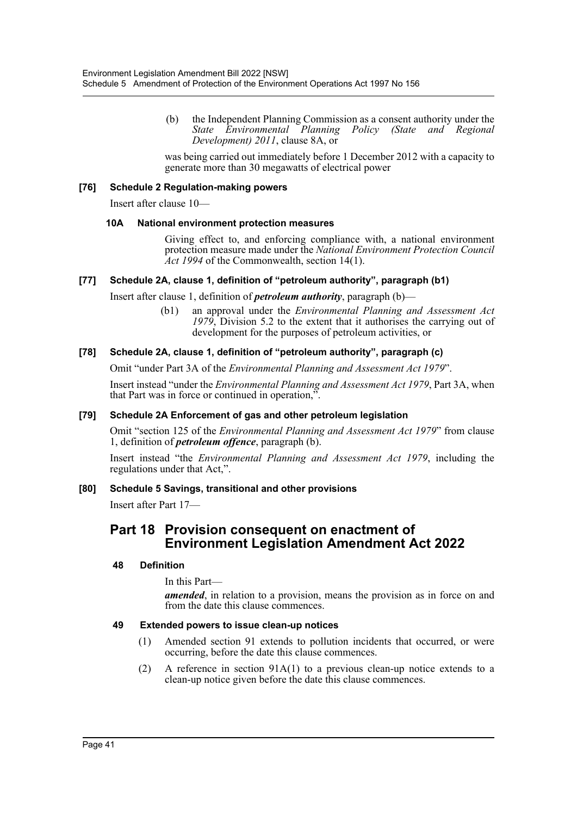(b) the Independent Planning Commission as a consent authority under the *State Environmental Planning Policy (State and Regional Development) 2011*, clause 8A, or

was being carried out immediately before 1 December 2012 with a capacity to generate more than 30 megawatts of electrical power

# **[76] Schedule 2 Regulation-making powers**

Insert after clause 10—

#### **10A National environment protection measures**

Giving effect to, and enforcing compliance with, a national environment protection measure made under the *National Environment Protection Council Act 1994* of the Commonwealth, section 14(1).

# **[77] Schedule 2A, clause 1, definition of "petroleum authority", paragraph (b1)**

Insert after clause 1, definition of *petroleum authority*, paragraph (b)—

(b1) an approval under the *Environmental Planning and Assessment Act 1979*, Division 5.2 to the extent that it authorises the carrying out of development for the purposes of petroleum activities, or

# **[78] Schedule 2A, clause 1, definition of "petroleum authority", paragraph (c)**

Omit "under Part 3A of the *Environmental Planning and Assessment Act 1979*".

Insert instead "under the *Environmental Planning and Assessment Act 1979*, Part 3A, when that Part was in force or continued in operation,".

# **[79] Schedule 2A Enforcement of gas and other petroleum legislation**

Omit "section 125 of the *Environmental Planning and Assessment Act 1979*" from clause 1, definition of *petroleum offence*, paragraph (b).

Insert instead "the *Environmental Planning and Assessment Act 1979*, including the regulations under that Act,".

# **[80] Schedule 5 Savings, transitional and other provisions**

Insert after Part 17—

# **Part 18 Provision consequent on enactment of Environment Legislation Amendment Act 2022**

# **48 Definition**

In this Part—

*amended*, in relation to a provision, means the provision as in force on and from the date this clause commences.

# **49 Extended powers to issue clean-up notices**

- (1) Amended section 91 extends to pollution incidents that occurred, or were occurring, before the date this clause commences.
- (2) A reference in section 91A(1) to a previous clean-up notice extends to a clean-up notice given before the date this clause commences.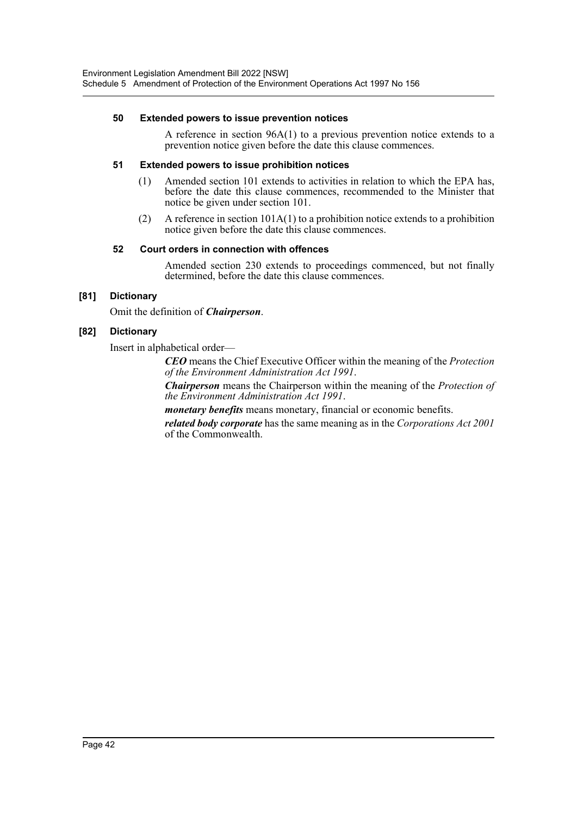# **50 Extended powers to issue prevention notices**

A reference in section 96A(1) to a previous prevention notice extends to a prevention notice given before the date this clause commences.

# **51 Extended powers to issue prohibition notices**

- (1) Amended section 101 extends to activities in relation to which the EPA has, before the date this clause commences, recommended to the Minister that notice be given under section 101.
- (2) A reference in section 101A(1) to a prohibition notice extends to a prohibition notice given before the date this clause commences.

# **52 Court orders in connection with offences**

Amended section 230 extends to proceedings commenced, but not finally determined, before the date this clause commences.

# **[81] Dictionary**

Omit the definition of *Chairperson*.

# **[82] Dictionary**

Insert in alphabetical order—

*CEO* means the Chief Executive Officer within the meaning of the *Protection of the Environment Administration Act 1991*.

*Chairperson* means the Chairperson within the meaning of the *Protection of the Environment Administration Act 1991*.

*monetary benefits* means monetary, financial or economic benefits.

*related body corporate* has the same meaning as in the *Corporations Act 2001* of the Commonwealth.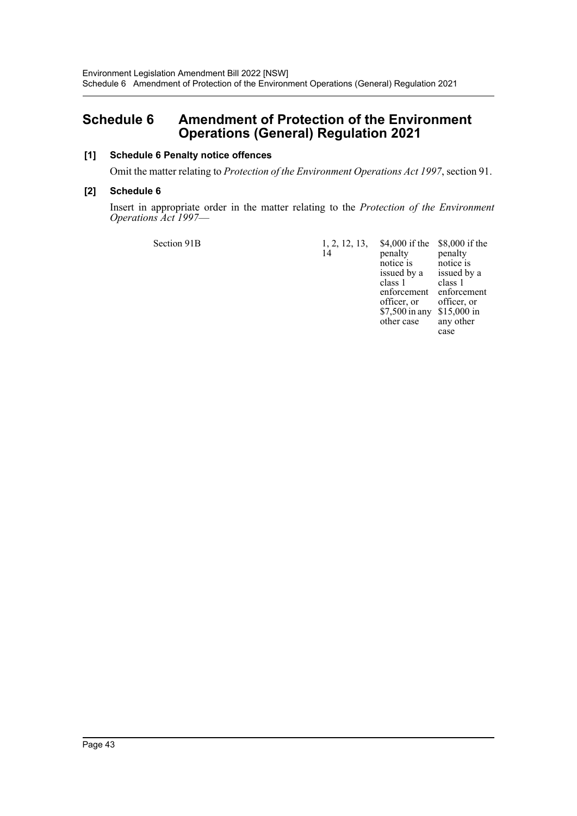# <span id="page-43-0"></span>**Schedule 6 Amendment of Protection of the Environment Operations (General) Regulation 2021**

# **[1] Schedule 6 Penalty notice offences**

Omit the matter relating to *Protection of the Environment Operations Act 1997*, section 91.

# **[2] Schedule 6**

Insert in appropriate order in the matter relating to the *Protection of the Environment Operations Act 1997*—

Section 91B 1, 2, 12, 13,

 $14^{1}$ penalty notice is issued by a

class 1

\$4,000 if the \$8,000 if the enforcement enforcement officer, or \$7,500 in any \$15,000 in other case penalty notice is issued by a class 1 officer, or any other case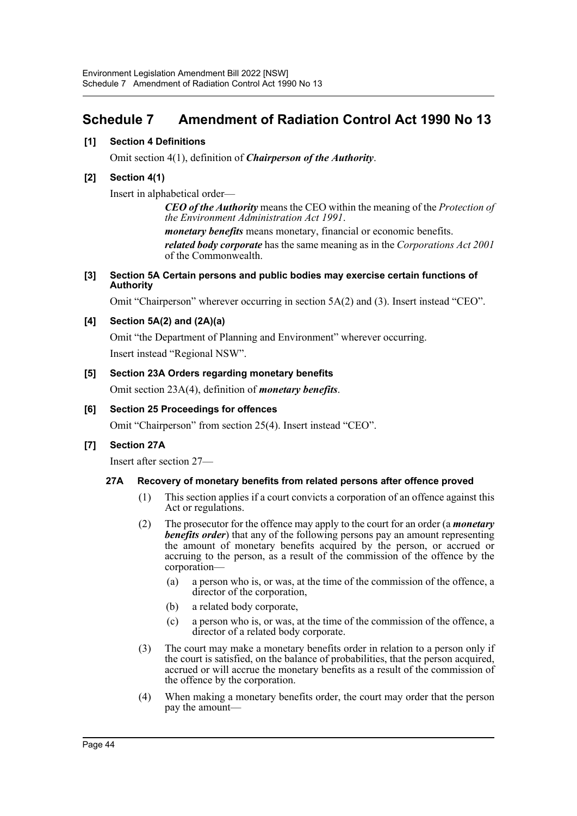# <span id="page-44-0"></span>**Schedule 7 Amendment of Radiation Control Act 1990 No 13**

# **[1] Section 4 Definitions**

Omit section 4(1), definition of *Chairperson of the Authority*.

# **[2] Section 4(1)**

Insert in alphabetical order—

*CEO of the Authority* means the CEO within the meaning of the *Protection of the Environment Administration Act 1991*.

*monetary benefits* means monetary, financial or economic benefits.

*related body corporate* has the same meaning as in the *Corporations Act 2001* of the Commonwealth.

# **[3] Section 5A Certain persons and public bodies may exercise certain functions of Authority**

Omit "Chairperson" wherever occurring in section 5A(2) and (3). Insert instead "CEO".

# **[4] Section 5A(2) and (2A)(a)**

Omit "the Department of Planning and Environment" wherever occurring. Insert instead "Regional NSW".

# **[5] Section 23A Orders regarding monetary benefits**

Omit section 23A(4), definition of *monetary benefits*.

# **[6] Section 25 Proceedings for offences**

Omit "Chairperson" from section 25(4). Insert instead "CEO".

# **[7] Section 27A**

Insert after section 27—

# **27A Recovery of monetary benefits from related persons after offence proved**

- (1) This section applies if a court convicts a corporation of an offence against this Act or regulations.
- (2) The prosecutor for the offence may apply to the court for an order (a *monetary benefits order*) that any of the following persons pay an amount representing the amount of monetary benefits acquired by the person, or accrued or accruing to the person, as a result of the commission of the offence by the corporation—
	- (a) a person who is, or was, at the time of the commission of the offence, a director of the corporation,
	- (b) a related body corporate,
	- (c) a person who is, or was, at the time of the commission of the offence, a director of a related body corporate.
- (3) The court may make a monetary benefits order in relation to a person only if the court is satisfied, on the balance of probabilities, that the person acquired, accrued or will accrue the monetary benefits as a result of the commission of the offence by the corporation.
- (4) When making a monetary benefits order, the court may order that the person pay the amount—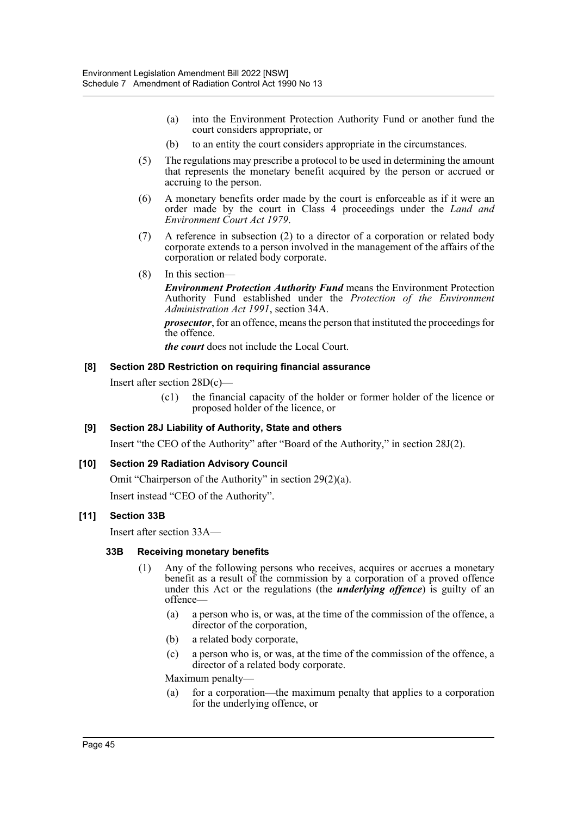- (a) into the Environment Protection Authority Fund or another fund the court considers appropriate, or
- (b) to an entity the court considers appropriate in the circumstances.
- (5) The regulations may prescribe a protocol to be used in determining the amount that represents the monetary benefit acquired by the person or accrued or accruing to the person.
- (6) A monetary benefits order made by the court is enforceable as if it were an order made by the court in Class 4 proceedings under the *Land and Environment Court Act 1979*.
- (7) A reference in subsection (2) to a director of a corporation or related body corporate extends to a person involved in the management of the affairs of the corporation or related body corporate.
- (8) In this section—

*Environment Protection Authority Fund* means the Environment Protection Authority Fund established under the *Protection of the Environment Administration Act 1991*, section 34A.

*prosecutor*, for an offence, means the person that instituted the proceedings for the offence.

*the court* does not include the Local Court.

# **[8] Section 28D Restriction on requiring financial assurance**

Insert after section 28D(c)—

(c1) the financial capacity of the holder or former holder of the licence or proposed holder of the licence, or

# **[9] Section 28J Liability of Authority, State and others**

Insert "the CEO of the Authority" after "Board of the Authority," in section 28J(2).

# **[10] Section 29 Radiation Advisory Council**

Omit "Chairperson of the Authority" in section 29(2)(a). Insert instead "CEO of the Authority".

# **[11] Section 33B**

Insert after section 33A—

# **33B Receiving monetary benefits**

- (1) Any of the following persons who receives, acquires or accrues a monetary benefit as a result of the commission by a corporation of a proved offence under this Act or the regulations (the *underlying offence*) is guilty of an offence—
	- (a) a person who is, or was, at the time of the commission of the offence, a director of the corporation,
	- (b) a related body corporate,
	- (c) a person who is, or was, at the time of the commission of the offence, a director of a related body corporate.

Maximum penalty—

(a) for a corporation—the maximum penalty that applies to a corporation for the underlying offence, or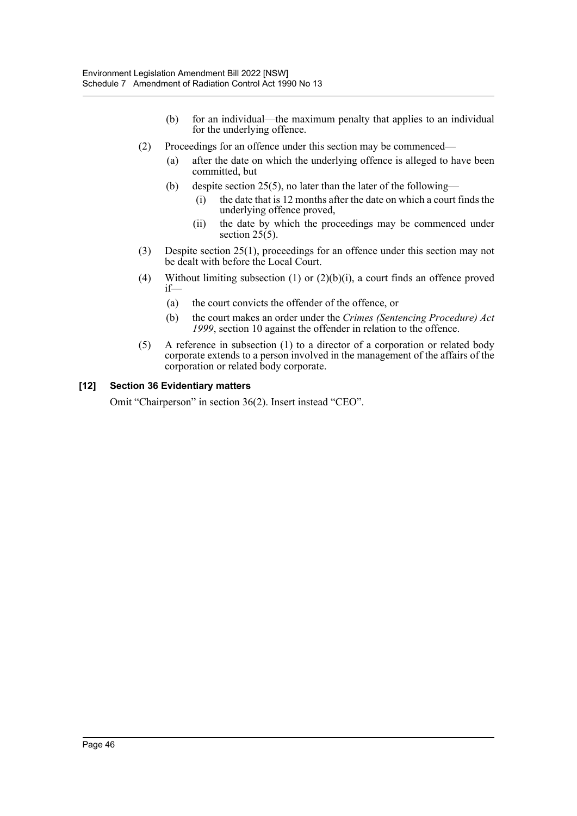- (b) for an individual—the maximum penalty that applies to an individual for the underlying offence.
- (2) Proceedings for an offence under this section may be commenced—
	- (a) after the date on which the underlying offence is alleged to have been committed, but
	- (b) despite section 25(5), no later than the later of the following—
		- (i) the date that is 12 months after the date on which a court finds the underlying offence proved,
		- (ii) the date by which the proceedings may be commenced under section  $25(5)$ .
- (3) Despite section 25(1), proceedings for an offence under this section may not be dealt with before the Local Court.
- (4) Without limiting subsection (1) or (2)(b)(i), a court finds an offence proved if—
	- (a) the court convicts the offender of the offence, or
	- (b) the court makes an order under the *Crimes (Sentencing Procedure) Act 1999*, section 10 against the offender in relation to the offence.
- (5) A reference in subsection (1) to a director of a corporation or related body corporate extends to a person involved in the management of the affairs of the corporation or related body corporate.

# **[12] Section 36 Evidentiary matters**

Omit "Chairperson" in section 36(2). Insert instead "CEO".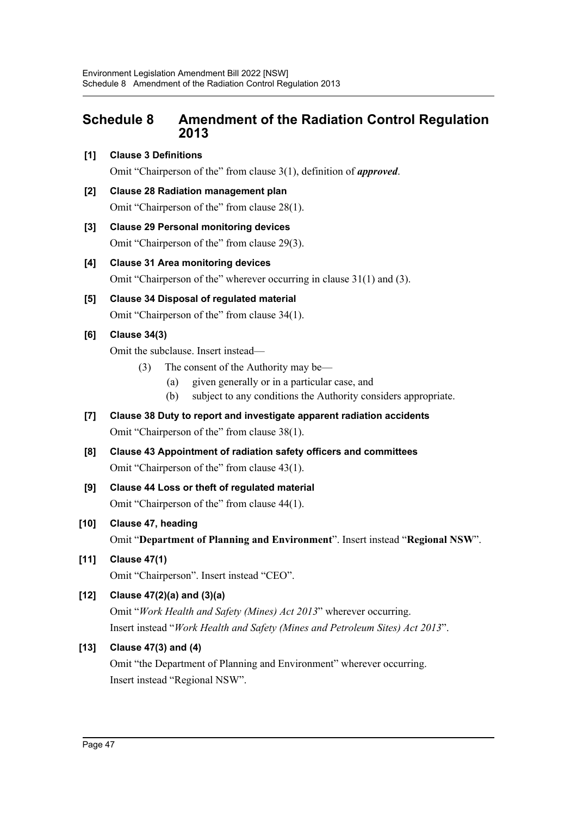# <span id="page-47-0"></span>**Schedule 8 Amendment of the Radiation Control Regulation 2013**

# **[1] Clause 3 Definitions**

Omit "Chairperson of the" from clause 3(1), definition of *approved*.

- **[2] Clause 28 Radiation management plan** Omit "Chairperson of the" from clause 28(1).
- **[3] Clause 29 Personal monitoring devices** Omit "Chairperson of the" from clause 29(3).
- **[4] Clause 31 Area monitoring devices** Omit "Chairperson of the" wherever occurring in clause 31(1) and (3).
- **[5] Clause 34 Disposal of regulated material** Omit "Chairperson of the" from clause 34(1).

# **[6] Clause 34(3)**

Omit the subclause. Insert instead—

- (3) The consent of the Authority may be—
	- (a) given generally or in a particular case, and
	- (b) subject to any conditions the Authority considers appropriate.
- **[7] Clause 38 Duty to report and investigate apparent radiation accidents** Omit "Chairperson of the" from clause 38(1).
- **[8] Clause 43 Appointment of radiation safety officers and committees** Omit "Chairperson of the" from clause 43(1).
- **[9] Clause 44 Loss or theft of regulated material** Omit "Chairperson of the" from clause 44(1).
- **[10] Clause 47, heading**

Omit "**Department of Planning and Environment**". Insert instead "**Regional NSW**".

**[11] Clause 47(1)** Omit "Chairperson". Insert instead "CEO".

# **[12] Clause 47(2)(a) and (3)(a)**

Omit "*Work Health and Safety (Mines) Act 2013*" wherever occurring. Insert instead "*Work Health and Safety (Mines and Petroleum Sites) Act 2013*".

# **[13] Clause 47(3) and (4)**

Omit "the Department of Planning and Environment" wherever occurring. Insert instead "Regional NSW".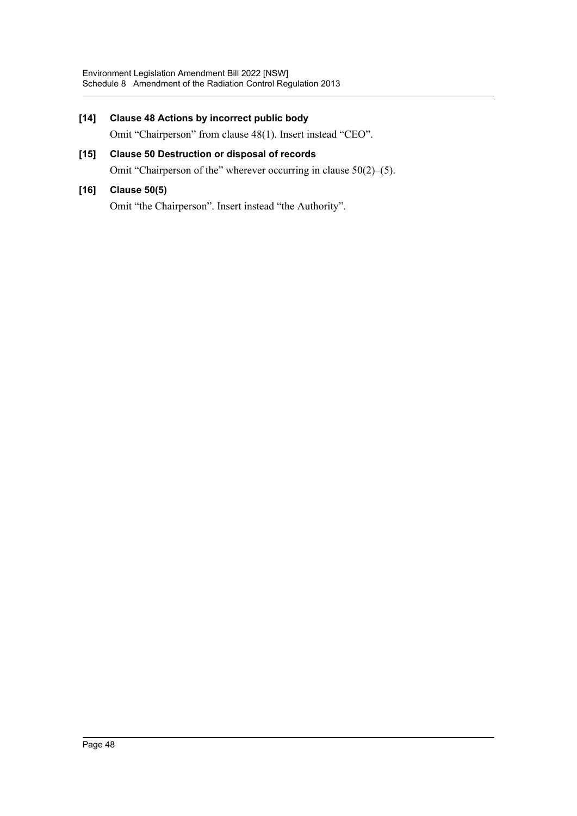# **[14] Clause 48 Actions by incorrect public body** Omit "Chairperson" from clause 48(1). Insert instead "CEO". **[15] Clause 50 Destruction or disposal of records** Omit "Chairperson of the" wherever occurring in clause 50(2)–(5). **[16] Clause 50(5)**

Omit "the Chairperson". Insert instead "the Authority".